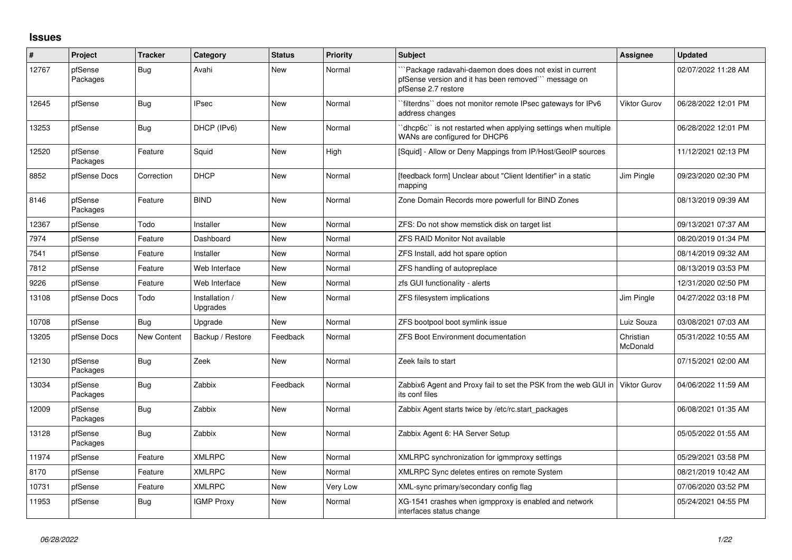## **Issues**

| ∦     | Project             | <b>Tracker</b> | Category                   | <b>Status</b> | Priority | <b>Subject</b>                                                                                                                         | <b>Assignee</b>       | <b>Updated</b>      |
|-------|---------------------|----------------|----------------------------|---------------|----------|----------------------------------------------------------------------------------------------------------------------------------------|-----------------------|---------------------|
| 12767 | pfSense<br>Packages | Bug            | Avahi                      | New           | Normal   | Package radavahi-daemon does does not exist in current<br>pfSense version and it has been removed``` message on<br>pfSense 2.7 restore |                       | 02/07/2022 11:28 AM |
| 12645 | pfSense             | Bug            | <b>IPsec</b>               | New           | Normal   | filterdns" does not monitor remote IPsec gateways for IPv6<br>address changes                                                          | <b>Viktor Gurov</b>   | 06/28/2022 12:01 PM |
| 13253 | pfSense             | Bug            | DHCP (IPv6)                | New           | Normal   | dhcp6c" is not restarted when applying settings when multiple<br>WANs are configured for DHCP6                                         |                       | 06/28/2022 12:01 PM |
| 12520 | pfSense<br>Packages | Feature        | Squid                      | New           | High     | [Squid] - Allow or Deny Mappings from IP/Host/GeoIP sources                                                                            |                       | 11/12/2021 02:13 PM |
| 8852  | pfSense Docs        | Correction     | <b>DHCP</b>                | New           | Normal   | [feedback form] Unclear about "Client Identifier" in a static<br>mapping                                                               | Jim Pingle            | 09/23/2020 02:30 PM |
| 8146  | pfSense<br>Packages | Feature        | <b>BIND</b>                | <b>New</b>    | Normal   | Zone Domain Records more powerfull for BIND Zones                                                                                      |                       | 08/13/2019 09:39 AM |
| 12367 | pfSense             | Todo           | Installer                  | New           | Normal   | ZFS: Do not show memstick disk on target list                                                                                          |                       | 09/13/2021 07:37 AM |
| 7974  | pfSense             | Feature        | Dashboard                  | New           | Normal   | <b>ZFS RAID Monitor Not available</b>                                                                                                  |                       | 08/20/2019 01:34 PM |
| 7541  | pfSense             | Feature        | Installer                  | <b>New</b>    | Normal   | ZFS Install, add hot spare option                                                                                                      |                       | 08/14/2019 09:32 AM |
| 7812  | pfSense             | Feature        | Web Interface              | New           | Normal   | ZFS handling of autopreplace                                                                                                           |                       | 08/13/2019 03:53 PM |
| 9226  | pfSense             | Feature        | Web Interface              | <b>New</b>    | Normal   | zfs GUI functionality - alerts                                                                                                         |                       | 12/31/2020 02:50 PM |
| 13108 | pfSense Docs        | Todo           | Installation /<br>Upgrades | <b>New</b>    | Normal   | ZFS filesystem implications                                                                                                            | Jim Pingle            | 04/27/2022 03:18 PM |
| 10708 | pfSense             | Bug            | Upgrade                    | <b>New</b>    | Normal   | ZFS bootpool boot symlink issue                                                                                                        | Luiz Souza            | 03/08/2021 07:03 AM |
| 13205 | pfSense Docs        | New Content    | Backup / Restore           | Feedback      | Normal   | <b>ZFS Boot Environment documentation</b>                                                                                              | Christian<br>McDonald | 05/31/2022 10:55 AM |
| 12130 | pfSense<br>Packages | Bug            | Zeek                       | <b>New</b>    | Normal   | Zeek fails to start                                                                                                                    |                       | 07/15/2021 02:00 AM |
| 13034 | pfSense<br>Packages | Bug            | Zabbix                     | Feedback      | Normal   | Zabbix6 Agent and Proxy fail to set the PSK from the web GUI in<br>its conf files                                                      | Viktor Gurov          | 04/06/2022 11:59 AM |
| 12009 | pfSense<br>Packages | <b>Bug</b>     | Zabbix                     | New           | Normal   | Zabbix Agent starts twice by /etc/rc.start packages                                                                                    |                       | 06/08/2021 01:35 AM |
| 13128 | pfSense<br>Packages | Bug            | Zabbix                     | New           | Normal   | Zabbix Agent 6: HA Server Setup                                                                                                        |                       | 05/05/2022 01:55 AM |
| 11974 | pfSense             | Feature        | <b>XMLRPC</b>              | <b>New</b>    | Normal   | XMLRPC synchronization for igmmproxy settings                                                                                          |                       | 05/29/2021 03:58 PM |
| 8170  | pfSense             | Feature        | <b>XMLRPC</b>              | New           | Normal   | XMLRPC Sync deletes entires on remote System                                                                                           |                       | 08/21/2019 10:42 AM |
| 10731 | pfSense             | Feature        | <b>XMLRPC</b>              | New           | Very Low | XML-sync primary/secondary config flag                                                                                                 |                       | 07/06/2020 03:52 PM |
| 11953 | pfSense             | Bug            | <b>IGMP Proxy</b>          | <b>New</b>    | Normal   | XG-1541 crashes when igmpproxy is enabled and network<br>interfaces status change                                                      |                       | 05/24/2021 04:55 PM |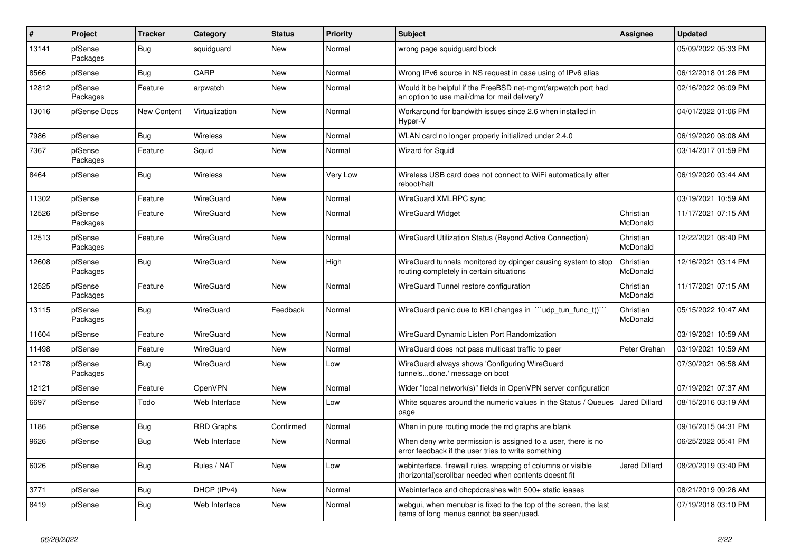| $\sharp$ | Project             | <b>Tracker</b>     | Category       | <b>Status</b> | <b>Priority</b> | Subject                                                                                                                | Assignee              | <b>Updated</b>      |
|----------|---------------------|--------------------|----------------|---------------|-----------------|------------------------------------------------------------------------------------------------------------------------|-----------------------|---------------------|
| 13141    | pfSense<br>Packages | <b>Bug</b>         | squidguard     | New           | Normal          | wrong page squidguard block                                                                                            |                       | 05/09/2022 05:33 PM |
| 8566     | pfSense             | Bug                | CARP           | New           | Normal          | Wrong IPv6 source in NS request in case using of IPv6 alias                                                            |                       | 06/12/2018 01:26 PM |
| 12812    | pfSense<br>Packages | Feature            | arpwatch       | New           | Normal          | Would it be helpful if the FreeBSD net-mgmt/arpwatch port had<br>an option to use mail/dma for mail delivery?          |                       | 02/16/2022 06:09 PM |
| 13016    | pfSense Docs        | <b>New Content</b> | Virtualization | New           | Normal          | Workaround for bandwith issues since 2.6 when installed in<br>Hyper-V                                                  |                       | 04/01/2022 01:06 PM |
| 7986     | pfSense             | Bug                | Wireless       | New           | Normal          | WLAN card no longer properly initialized under 2.4.0                                                                   |                       | 06/19/2020 08:08 AM |
| 7367     | pfSense<br>Packages | Feature            | Squid          | New           | Normal          | <b>Wizard for Squid</b>                                                                                                |                       | 03/14/2017 01:59 PM |
| 8464     | pfSense             | Bug                | Wireless       | New           | Very Low        | Wireless USB card does not connect to WiFi automatically after<br>reboot/halt                                          |                       | 06/19/2020 03:44 AM |
| 11302    | pfSense             | Feature            | WireGuard      | New           | Normal          | WireGuard XMLRPC sync                                                                                                  |                       | 03/19/2021 10:59 AM |
| 12526    | pfSense<br>Packages | Feature            | WireGuard      | New           | Normal          | <b>WireGuard Widget</b>                                                                                                | Christian<br>McDonald | 11/17/2021 07:15 AM |
| 12513    | pfSense<br>Packages | Feature            | WireGuard      | New           | Normal          | WireGuard Utilization Status (Beyond Active Connection)                                                                | Christian<br>McDonald | 12/22/2021 08:40 PM |
| 12608    | pfSense<br>Packages | Bug                | WireGuard      | New           | High            | WireGuard tunnels monitored by dpinger causing system to stop<br>routing completely in certain situations              | Christian<br>McDonald | 12/16/2021 03:14 PM |
| 12525    | pfSense<br>Packages | Feature            | WireGuard      | New           | Normal          | WireGuard Tunnel restore configuration                                                                                 | Christian<br>McDonald | 11/17/2021 07:15 AM |
| 13115    | pfSense<br>Packages | Bug                | WireGuard      | Feedback      | Normal          | WireGuard panic due to KBI changes in "'udp_tun_func_t()"                                                              | Christian<br>McDonald | 05/15/2022 10:47 AM |
| 11604    | pfSense             | Feature            | WireGuard      | New           | Normal          | WireGuard Dynamic Listen Port Randomization                                                                            |                       | 03/19/2021 10:59 AM |
| 11498    | pfSense             | Feature            | WireGuard      | New           | Normal          | WireGuard does not pass multicast traffic to peer                                                                      | Peter Grehan          | 03/19/2021 10:59 AM |
| 12178    | pfSense<br>Packages | <b>Bug</b>         | WireGuard      | New           | Low             | WireGuard always shows 'Configuring WireGuard<br>tunnelsdone.' message on boot                                         |                       | 07/30/2021 06:58 AM |
| 12121    | pfSense             | Feature            | OpenVPN        | New           | Normal          | Wider "local network(s)" fields in OpenVPN server configuration                                                        |                       | 07/19/2021 07:37 AM |
| 6697     | pfSense             | Todo               | Web Interface  | New           | Low             | White squares around the numeric values in the Status / Queues<br>page                                                 | Jared Dillard         | 08/15/2016 03:19 AM |
| 1186     | pfSense             | <b>Bug</b>         | RRD Graphs     | Confirmed     | Normal          | When in pure routing mode the rrd graphs are blank                                                                     |                       | 09/16/2015 04:31 PM |
| 9626     | pfSense             | <b>Bug</b>         | Web Interface  | New           | Normal          | When deny write permission is assigned to a user, there is no<br>error feedback if the user tries to write something   |                       | 06/25/2022 05:41 PM |
| 6026     | pfSense             | Bug                | Rules / NAT    | New           | Low             | webinterface, firewall rules, wrapping of columns or visible<br>(horizontal) scrollbar needed when contents doesnt fit | <b>Jared Dillard</b>  | 08/20/2019 03:40 PM |
| 3771     | pfSense             | Bug                | DHCP (IPv4)    | New           | Normal          | Webinterface and dhcpdcrashes with 500+ static leases                                                                  |                       | 08/21/2019 09:26 AM |
| 8419     | pfSense             | <b>Bug</b>         | Web Interface  | New           | Normal          | webgui, when menubar is fixed to the top of the screen, the last<br>items of long menus cannot be seen/used.           |                       | 07/19/2018 03:10 PM |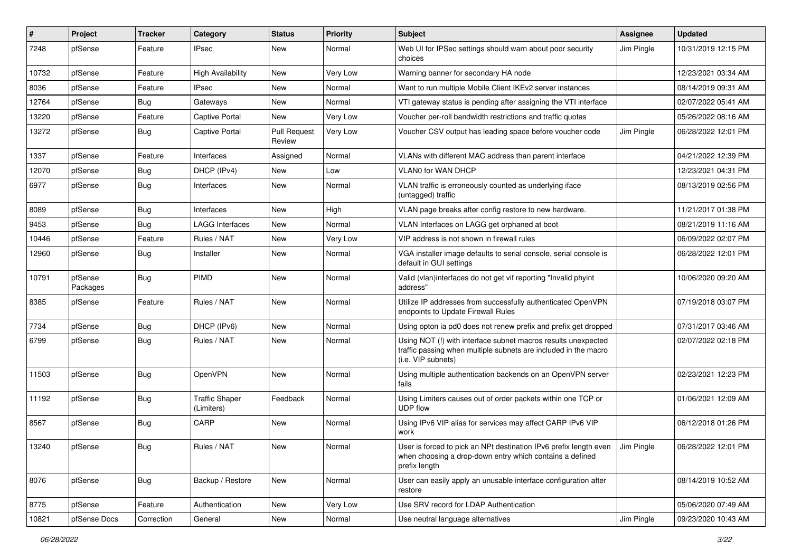| ∦     | Project             | <b>Tracker</b> | Category                            | <b>Status</b>                 | Priority | <b>Subject</b>                                                                                                                                              | Assignee   | <b>Updated</b>      |
|-------|---------------------|----------------|-------------------------------------|-------------------------------|----------|-------------------------------------------------------------------------------------------------------------------------------------------------------------|------------|---------------------|
| 7248  | pfSense             | Feature        | <b>IPsec</b>                        | New                           | Normal   | Web UI for IPSec settings should warn about poor security<br>choices                                                                                        | Jim Pingle | 10/31/2019 12:15 PM |
| 10732 | pfSense             | Feature        | <b>High Availability</b>            | New                           | Very Low | Warning banner for secondary HA node                                                                                                                        |            | 12/23/2021 03:34 AM |
| 8036  | pfSense             | Feature        | <b>IPsec</b>                        | New                           | Normal   | Want to run multiple Mobile Client IKEv2 server instances                                                                                                   |            | 08/14/2019 09:31 AM |
| 12764 | pfSense             | Bug            | Gateways                            | New                           | Normal   | VTI gateway status is pending after assigning the VTI interface                                                                                             |            | 02/07/2022 05:41 AM |
| 13220 | pfSense             | Feature        | Captive Portal                      | New                           | Very Low | Voucher per-roll bandwidth restrictions and traffic quotas                                                                                                  |            | 05/26/2022 08:16 AM |
| 13272 | pfSense             | <b>Bug</b>     | <b>Captive Portal</b>               | <b>Pull Request</b><br>Review | Very Low | Voucher CSV output has leading space before voucher code                                                                                                    | Jim Pingle | 06/28/2022 12:01 PM |
| 1337  | pfSense             | Feature        | Interfaces                          | Assigned                      | Normal   | VLANs with different MAC address than parent interface                                                                                                      |            | 04/21/2022 12:39 PM |
| 12070 | pfSense             | <b>Bug</b>     | DHCP (IPv4)                         | New                           | Low      | VLAN0 for WAN DHCP                                                                                                                                          |            | 12/23/2021 04:31 PM |
| 6977  | pfSense             | Bug            | Interfaces                          | New                           | Normal   | VLAN traffic is erroneously counted as underlying iface<br>(untagged) traffic                                                                               |            | 08/13/2019 02:56 PM |
| 8089  | pfSense             | <b>Bug</b>     | Interfaces                          | New                           | High     | VLAN page breaks after config restore to new hardware.                                                                                                      |            | 11/21/2017 01:38 PM |
| 9453  | pfSense             | Bug            | LAGG Interfaces                     | New                           | Normal   | VLAN Interfaces on LAGG get orphaned at boot                                                                                                                |            | 08/21/2019 11:16 AM |
| 10446 | pfSense             | Feature        | Rules / NAT                         | New                           | Very Low | VIP address is not shown in firewall rules                                                                                                                  |            | 06/09/2022 02:07 PM |
| 12960 | pfSense             | <b>Bug</b>     | Installer                           | New                           | Normal   | VGA installer image defaults to serial console, serial console is<br>default in GUI settings                                                                |            | 06/28/2022 12:01 PM |
| 10791 | pfSense<br>Packages | <b>Bug</b>     | PIMD                                | New                           | Normal   | Valid (vlan)interfaces do not get vif reporting "Invalid phyint<br>address"                                                                                 |            | 10/06/2020 09:20 AM |
| 8385  | pfSense             | Feature        | Rules / NAT                         | New                           | Normal   | Utilize IP addresses from successfully authenticated OpenVPN<br>endpoints to Update Firewall Rules                                                          |            | 07/19/2018 03:07 PM |
| 7734  | pfSense             | <b>Bug</b>     | DHCP (IPv6)                         | New                           | Normal   | Using opton ia pd0 does not renew prefix and prefix get dropped                                                                                             |            | 07/31/2017 03:46 AM |
| 6799  | pfSense             | <b>Bug</b>     | Rules / NAT                         | New                           | Normal   | Using NOT (!) with interface subnet macros results unexpected<br>traffic passing when multiple subnets are included in the macro<br>(i.e. VIP subnets)      |            | 02/07/2022 02:18 PM |
| 11503 | pfSense             | <b>Bug</b>     | OpenVPN                             | New                           | Normal   | Using multiple authentication backends on an OpenVPN server<br>fails                                                                                        |            | 02/23/2021 12:23 PM |
| 11192 | pfSense             | <b>Bug</b>     | <b>Traffic Shaper</b><br>(Limiters) | Feedback                      | Normal   | Using Limiters causes out of order packets within one TCP or<br>UDP flow                                                                                    |            | 01/06/2021 12:09 AM |
| 8567  | pfSense             | <b>Bug</b>     | CARP                                | <b>New</b>                    | Normal   | Using IPv6 VIP alias for services may affect CARP IPv6 VIP<br>work                                                                                          |            | 06/12/2018 01:26 PM |
| 13240 | pfSense             | Bug            | Rules / NAT                         | New                           | Normal   | User is forced to pick an NPt destination IPv6 prefix length even J Jim Pingle<br>when choosing a drop-down entry which contains a defined<br>prefix length |            | 06/28/2022 12:01 PM |
| 8076  | pfSense             | Bug            | Backup / Restore                    | New                           | Normal   | User can easily apply an unusable interface configuration after<br>restore                                                                                  |            | 08/14/2019 10:52 AM |
| 8775  | pfSense             | Feature        | Authentication                      | New                           | Very Low | Use SRV record for LDAP Authentication                                                                                                                      |            | 05/06/2020 07:49 AM |
| 10821 | pfSense Docs        | Correction     | General                             | New                           | Normal   | Use neutral language alternatives                                                                                                                           | Jim Pingle | 09/23/2020 10:43 AM |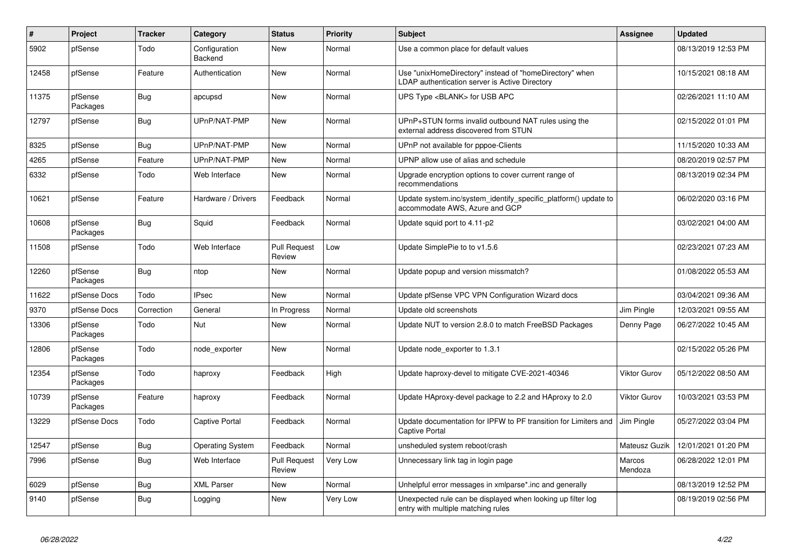| $\#$  | Project             | <b>Tracker</b> | Category                        | <b>Status</b>                 | <b>Priority</b> | <b>Subject</b>                                                                                            | Assignee            | <b>Updated</b>      |
|-------|---------------------|----------------|---------------------------------|-------------------------------|-----------------|-----------------------------------------------------------------------------------------------------------|---------------------|---------------------|
| 5902  | pfSense             | Todo           | Configuration<br><b>Backend</b> | New                           | Normal          | Use a common place for default values                                                                     |                     | 08/13/2019 12:53 PM |
| 12458 | pfSense             | Feature        | Authentication                  | <b>New</b>                    | Normal          | Use "unixHomeDirectory" instead of "homeDirectory" when<br>LDAP authentication server is Active Directory |                     | 10/15/2021 08:18 AM |
| 11375 | pfSense<br>Packages | <b>Bug</b>     | apcupsd                         | <b>New</b>                    | Normal          | UPS Type <blank> for USB APC</blank>                                                                      |                     | 02/26/2021 11:10 AM |
| 12797 | pfSense             | <b>Bug</b>     | UPnP/NAT-PMP                    | New                           | Normal          | UPnP+STUN forms invalid outbound NAT rules using the<br>external address discovered from STUN             |                     | 02/15/2022 01:01 PM |
| 8325  | pfSense             | Bug            | UPnP/NAT-PMP                    | New                           | Normal          | UPnP not available for pppoe-Clients                                                                      |                     | 11/15/2020 10:33 AM |
| 4265  | pfSense             | Feature        | UPnP/NAT-PMP                    | <b>New</b>                    | Normal          | UPNP allow use of alias and schedule                                                                      |                     | 08/20/2019 02:57 PM |
| 6332  | pfSense             | Todo           | Web Interface                   | New                           | Normal          | Upgrade encryption options to cover current range of<br>recommendations                                   |                     | 08/13/2019 02:34 PM |
| 10621 | pfSense             | Feature        | Hardware / Drivers              | Feedback                      | Normal          | Update system.inc/system_identify_specific_platform() update to<br>accommodate AWS, Azure and GCP         |                     | 06/02/2020 03:16 PM |
| 10608 | pfSense<br>Packages | Bug            | Squid                           | Feedback                      | Normal          | Update squid port to 4.11-p2                                                                              |                     | 03/02/2021 04:00 AM |
| 11508 | pfSense             | Todo           | Web Interface                   | <b>Pull Request</b><br>Review | Low             | Update SimplePie to to v1.5.6                                                                             |                     | 02/23/2021 07:23 AM |
| 12260 | pfSense<br>Packages | Bug            | ntop                            | New                           | Normal          | Update popup and version missmatch?                                                                       |                     | 01/08/2022 05:53 AM |
| 11622 | pfSense Docs        | Todo           | <b>IPsec</b>                    | New                           | Normal          | Update pfSense VPC VPN Configuration Wizard docs                                                          |                     | 03/04/2021 09:36 AM |
| 9370  | pfSense Docs        | Correction     | General                         | In Progress                   | Normal          | Update old screenshots                                                                                    | Jim Pingle          | 12/03/2021 09:55 AM |
| 13306 | pfSense<br>Packages | Todo           | Nut                             | New                           | Normal          | Update NUT to version 2.8.0 to match FreeBSD Packages                                                     | Denny Page          | 06/27/2022 10:45 AM |
| 12806 | pfSense<br>Packages | Todo           | node exporter                   | New                           | Normal          | Update node exporter to 1.3.1                                                                             |                     | 02/15/2022 05:26 PM |
| 12354 | pfSense<br>Packages | Todo           | haproxy                         | Feedback                      | High            | Update haproxy-devel to mitigate CVE-2021-40346                                                           | Viktor Gurov        | 05/12/2022 08:50 AM |
| 10739 | pfSense<br>Packages | Feature        | haproxy                         | Feedback                      | Normal          | Update HAproxy-devel package to 2.2 and HAproxy to 2.0                                                    | <b>Viktor Gurov</b> | 10/03/2021 03:53 PM |
| 13229 | pfSense Docs        | Todo           | Captive Portal                  | Feedback                      | Normal          | Update documentation for IPFW to PF transition for Limiters and<br><b>Captive Portal</b>                  | Jim Pingle          | 05/27/2022 03:04 PM |
| 12547 | pfSense             | <b>Bug</b>     | <b>Operating System</b>         | Feedback                      | Normal          | unsheduled system reboot/crash                                                                            | Mateusz Guzik       | 12/01/2021 01:20 PM |
| 7996  | pfSense             | <b>Bug</b>     | Web Interface                   | <b>Pull Request</b><br>Review | Very Low        | Unnecessary link tag in login page                                                                        | Marcos<br>Mendoza   | 06/28/2022 12:01 PM |
| 6029  | pfSense             | <b>Bug</b>     | <b>XML Parser</b>               | New                           | Normal          | Unhelpful error messages in xmlparse*.inc and generally                                                   |                     | 08/13/2019 12:52 PM |
| 9140  | pfSense             | <b>Bug</b>     | Logging                         | <b>New</b>                    | Very Low        | Unexpected rule can be displayed when looking up filter log<br>entry with multiple matching rules         |                     | 08/19/2019 02:56 PM |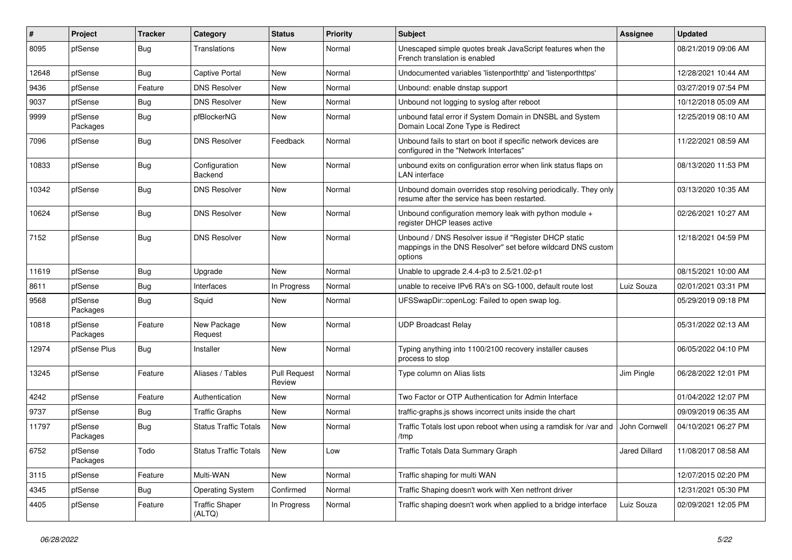| #     | Project             | <b>Tracker</b> | Category                        | <b>Status</b>                 | <b>Priority</b> | <b>Subject</b>                                                                                                                   | <b>Assignee</b> | <b>Updated</b>      |
|-------|---------------------|----------------|---------------------------------|-------------------------------|-----------------|----------------------------------------------------------------------------------------------------------------------------------|-----------------|---------------------|
| 8095  | pfSense             | <b>Bug</b>     | Translations                    | New                           | Normal          | Unescaped simple quotes break JavaScript features when the<br>French translation is enabled                                      |                 | 08/21/2019 09:06 AM |
| 12648 | pfSense             | <b>Bug</b>     | Captive Portal                  | New                           | Normal          | Undocumented variables 'listenporthttp' and 'listenporthttps'                                                                    |                 | 12/28/2021 10:44 AM |
| 9436  | pfSense             | Feature        | <b>DNS Resolver</b>             | New                           | Normal          | Unbound: enable dnstap support                                                                                                   |                 | 03/27/2019 07:54 PM |
| 9037  | pfSense             | <b>Bug</b>     | <b>DNS Resolver</b>             | New                           | Normal          | Unbound not logging to syslog after reboot                                                                                       |                 | 10/12/2018 05:09 AM |
| 9999  | pfSense<br>Packages | <b>Bug</b>     | pfBlockerNG                     | New                           | Normal          | unbound fatal error if System Domain in DNSBL and System<br>Domain Local Zone Type is Redirect                                   |                 | 12/25/2019 08:10 AM |
| 7096  | pfSense             | <b>Bug</b>     | <b>DNS Resolver</b>             | Feedback                      | Normal          | Unbound fails to start on boot if specific network devices are<br>configured in the "Network Interfaces"                         |                 | 11/22/2021 08:59 AM |
| 10833 | pfSense             | <b>Bug</b>     | Configuration<br>Backend        | New                           | Normal          | unbound exits on configuration error when link status flaps on<br><b>LAN</b> interface                                           |                 | 08/13/2020 11:53 PM |
| 10342 | pfSense             | <b>Bug</b>     | <b>DNS Resolver</b>             | New                           | Normal          | Unbound domain overrides stop resolving periodically. They only<br>resume after the service has been restarted.                  |                 | 03/13/2020 10:35 AM |
| 10624 | pfSense             | <b>Bug</b>     | <b>DNS Resolver</b>             | New                           | Normal          | Unbound configuration memory leak with python module +<br>register DHCP leases active                                            |                 | 02/26/2021 10:27 AM |
| 7152  | pfSense             | <b>Bug</b>     | <b>DNS Resolver</b>             | New                           | Normal          | Unbound / DNS Resolver issue if "Register DHCP static<br>mappings in the DNS Resolver" set before wildcard DNS custom<br>options |                 | 12/18/2021 04:59 PM |
| 11619 | pfSense             | <b>Bug</b>     | Upgrade                         | New                           | Normal          | Unable to upgrade 2.4.4-p3 to 2.5/21.02-p1                                                                                       |                 | 08/15/2021 10:00 AM |
| 8611  | pfSense             | <b>Bug</b>     | Interfaces                      | In Progress                   | Normal          | unable to receive IPv6 RA's on SG-1000, default route lost                                                                       | Luiz Souza      | 02/01/2021 03:31 PM |
| 9568  | pfSense<br>Packages | <b>Bug</b>     | Squid                           | New                           | Normal          | UFSSwapDir::openLog: Failed to open swap log.                                                                                    |                 | 05/29/2019 09:18 PM |
| 10818 | pfSense<br>Packages | Feature        | New Package<br>Request          | New                           | Normal          | <b>UDP Broadcast Relay</b>                                                                                                       |                 | 05/31/2022 02:13 AM |
| 12974 | pfSense Plus        | Bug            | Installer                       | New                           | Normal          | Typing anything into 1100/2100 recovery installer causes<br>process to stop                                                      |                 | 06/05/2022 04:10 PM |
| 13245 | pfSense             | Feature        | Aliases / Tables                | <b>Pull Request</b><br>Review | Normal          | Type column on Alias lists                                                                                                       | Jim Pingle      | 06/28/2022 12:01 PM |
| 4242  | pfSense             | Feature        | Authentication                  | New                           | Normal          | Two Factor or OTP Authentication for Admin Interface                                                                             |                 | 01/04/2022 12:07 PM |
| 9737  | pfSense             | <b>Bug</b>     | <b>Traffic Graphs</b>           | New                           | Normal          | traffic-graphs.js shows incorrect units inside the chart                                                                         |                 | 09/09/2019 06:35 AM |
| 11797 | pfSense<br>Packages | <b>Bug</b>     | <b>Status Traffic Totals</b>    | New                           | Normal          | Traffic Totals lost upon reboot when using a ramdisk for /var and<br>/tmp                                                        | John Cornwell   | 04/10/2021 06:27 PM |
| 6752  | pfSense<br>Packages | Todo           | <b>Status Traffic Totals</b>    | New                           | Low             | Traffic Totals Data Summary Graph                                                                                                | Jared Dillard   | 11/08/2017 08:58 AM |
| 3115  | pfSense             | Feature        | Multi-WAN                       | New                           | Normal          | Traffic shaping for multi WAN                                                                                                    |                 | 12/07/2015 02:20 PM |
| 4345  | pfSense             | <b>Bug</b>     | <b>Operating System</b>         | Confirmed                     | Normal          | Traffic Shaping doesn't work with Xen netfront driver                                                                            |                 | 12/31/2021 05:30 PM |
| 4405  | pfSense             | Feature        | <b>Traffic Shaper</b><br>(ALTQ) | In Progress                   | Normal          | Traffic shaping doesn't work when applied to a bridge interface                                                                  | Luiz Souza      | 02/09/2021 12:05 PM |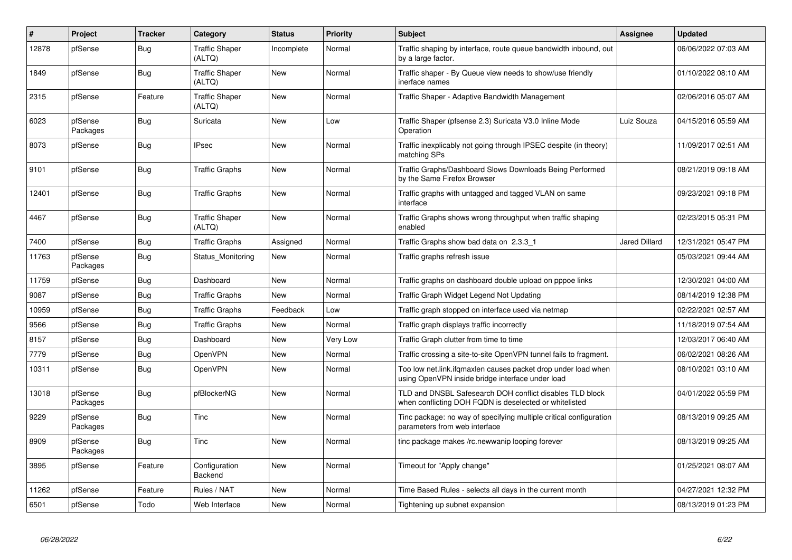| $\vert$ # | Project             | <b>Tracker</b> | Category                        | <b>Status</b> | <b>Priority</b> | <b>Subject</b>                                                                                                     | Assignee             | <b>Updated</b>      |
|-----------|---------------------|----------------|---------------------------------|---------------|-----------------|--------------------------------------------------------------------------------------------------------------------|----------------------|---------------------|
| 12878     | pfSense             | <b>Bug</b>     | <b>Traffic Shaper</b><br>(ALTQ) | Incomplete    | Normal          | Traffic shaping by interface, route queue bandwidth inbound, out<br>by a large factor.                             |                      | 06/06/2022 07:03 AM |
| 1849      | pfSense             | <b>Bug</b>     | <b>Traffic Shaper</b><br>(ALTQ) | New           | Normal          | Traffic shaper - By Queue view needs to show/use friendly<br>inerface names                                        |                      | 01/10/2022 08:10 AM |
| 2315      | pfSense             | Feature        | <b>Traffic Shaper</b><br>(ALTQ) | New           | Normal          | Traffic Shaper - Adaptive Bandwidth Management                                                                     |                      | 02/06/2016 05:07 AM |
| 6023      | pfSense<br>Packages | <b>Bug</b>     | Suricata                        | New           | Low             | Traffic Shaper (pfsense 2.3) Suricata V3.0 Inline Mode<br>Operation                                                | Luiz Souza           | 04/15/2016 05:59 AM |
| 8073      | pfSense             | <b>Bug</b>     | <b>IPsec</b>                    | New           | Normal          | Traffic inexplicably not going through IPSEC despite (in theory)<br>matching SPs                                   |                      | 11/09/2017 02:51 AM |
| 9101      | pfSense             | <b>Bug</b>     | <b>Traffic Graphs</b>           | New           | Normal          | Traffic Graphs/Dashboard Slows Downloads Being Performed<br>by the Same Firefox Browser                            |                      | 08/21/2019 09:18 AM |
| 12401     | pfSense             | <b>Bug</b>     | <b>Traffic Graphs</b>           | New           | Normal          | Traffic graphs with untagged and tagged VLAN on same<br>interface                                                  |                      | 09/23/2021 09:18 PM |
| 4467      | pfSense             | Bug            | <b>Traffic Shaper</b><br>(ALTQ) | New           | Normal          | Traffic Graphs shows wrong throughput when traffic shaping<br>enabled                                              |                      | 02/23/2015 05:31 PM |
| 7400      | pfSense             | <b>Bug</b>     | <b>Traffic Graphs</b>           | Assigned      | Normal          | Traffic Graphs show bad data on 2.3.3 1                                                                            | <b>Jared Dillard</b> | 12/31/2021 05:47 PM |
| 11763     | pfSense<br>Packages | Bug            | Status Monitoring               | New           | Normal          | Traffic graphs refresh issue                                                                                       |                      | 05/03/2021 09:44 AM |
| 11759     | pfSense             | Bug            | Dashboard                       | New           | Normal          | Traffic graphs on dashboard double upload on pppoe links                                                           |                      | 12/30/2021 04:00 AM |
| 9087      | pfSense             | <b>Bug</b>     | <b>Traffic Graphs</b>           | New           | Normal          | Traffic Graph Widget Legend Not Updating                                                                           |                      | 08/14/2019 12:38 PM |
| 10959     | pfSense             | <b>Bug</b>     | <b>Traffic Graphs</b>           | Feedback      | Low             | Traffic graph stopped on interface used via netmap                                                                 |                      | 02/22/2021 02:57 AM |
| 9566      | pfSense             | <b>Bug</b>     | Traffic Graphs                  | New           | Normal          | Traffic graph displays traffic incorrectly                                                                         |                      | 11/18/2019 07:54 AM |
| 8157      | pfSense             | <b>Bug</b>     | Dashboard                       | New           | Very Low        | Traffic Graph clutter from time to time                                                                            |                      | 12/03/2017 06:40 AM |
| 7779      | pfSense             | <b>Bug</b>     | OpenVPN                         | <b>New</b>    | Normal          | Traffic crossing a site-to-site OpenVPN tunnel fails to fragment.                                                  |                      | 06/02/2021 08:26 AM |
| 10311     | pfSense             | <b>Bug</b>     | OpenVPN                         | New           | Normal          | Too low net.link.ifqmaxlen causes packet drop under load when<br>using OpenVPN inside bridge interface under load  |                      | 08/10/2021 03:10 AM |
| 13018     | pfSense<br>Packages | <b>Bug</b>     | pfBlockerNG                     | New           | Normal          | TLD and DNSBL Safesearch DOH conflict disables TLD block<br>when conflicting DOH FQDN is deselected or whitelisted |                      | 04/01/2022 05:59 PM |
| 9229      | pfSense<br>Packages | <b>Bug</b>     | Tinc                            | New           | Normal          | Tinc package: no way of specifying multiple critical configuration<br>parameters from web interface                |                      | 08/13/2019 09:25 AM |
| 8909      | pfSense<br>Packages | <b>Bug</b>     | <b>Tinc</b>                     | New           | Normal          | tinc package makes /rc.newwanip looping forever                                                                    |                      | 08/13/2019 09:25 AM |
| 3895      | pfSense             | Feature        | Configuration<br><b>Backend</b> | New           | Normal          | Timeout for "Apply change"                                                                                         |                      | 01/25/2021 08:07 AM |
| 11262     | pfSense             | Feature        | Rules / NAT                     | New           | Normal          | Time Based Rules - selects all days in the current month                                                           |                      | 04/27/2021 12:32 PM |
| 6501      | pfSense             | Todo           | Web Interface                   | New           | Normal          | Tightening up subnet expansion                                                                                     |                      | 08/13/2019 01:23 PM |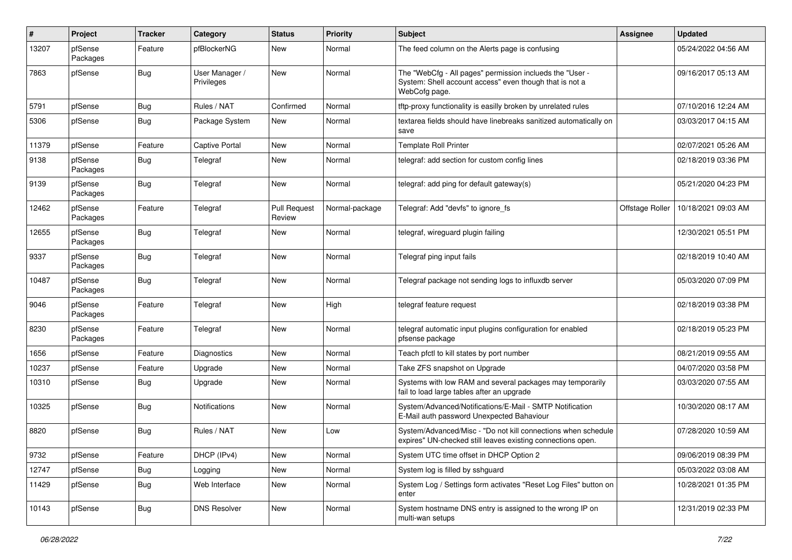| #     | Project             | <b>Tracker</b> | Category                     | <b>Status</b>                 | <b>Priority</b> | <b>Subject</b>                                                                                                                       | <b>Assignee</b> | <b>Updated</b>      |
|-------|---------------------|----------------|------------------------------|-------------------------------|-----------------|--------------------------------------------------------------------------------------------------------------------------------------|-----------------|---------------------|
| 13207 | pfSense<br>Packages | Feature        | pfBlockerNG                  | New                           | Normal          | The feed column on the Alerts page is confusing                                                                                      |                 | 05/24/2022 04:56 AM |
| 7863  | pfSense             | <b>Bug</b>     | User Manager /<br>Privileges | New                           | Normal          | The "WebCfg - All pages" permission inclueds the "User -<br>System: Shell account access" even though that is not a<br>WebCofg page. |                 | 09/16/2017 05:13 AM |
| 5791  | pfSense             | <b>Bug</b>     | Rules / NAT                  | Confirmed                     | Normal          | tftp-proxy functionality is easilly broken by unrelated rules                                                                        |                 | 07/10/2016 12:24 AM |
| 5306  | pfSense             | Bug            | Package System               | New                           | Normal          | textarea fields should have linebreaks sanitized automatically on<br>save                                                            |                 | 03/03/2017 04:15 AM |
| 11379 | pfSense             | Feature        | <b>Captive Portal</b>        | New                           | Normal          | Template Roll Printer                                                                                                                |                 | 02/07/2021 05:26 AM |
| 9138  | pfSense<br>Packages | <b>Bug</b>     | Telegraf                     | New                           | Normal          | telegraf: add section for custom config lines                                                                                        |                 | 02/18/2019 03:36 PM |
| 9139  | pfSense<br>Packages | <b>Bug</b>     | Telegraf                     | New                           | Normal          | telegraf: add ping for default gateway(s)                                                                                            |                 | 05/21/2020 04:23 PM |
| 12462 | pfSense<br>Packages | Feature        | Telegraf                     | <b>Pull Request</b><br>Review | Normal-package  | Telegraf: Add "devfs" to ignore fs                                                                                                   | Offstage Roller | 10/18/2021 09:03 AM |
| 12655 | pfSense<br>Packages | <b>Bug</b>     | Telegraf                     | New                           | Normal          | telegraf, wireguard plugin failing                                                                                                   |                 | 12/30/2021 05:51 PM |
| 9337  | pfSense<br>Packages | <b>Bug</b>     | Telegraf                     | New                           | Normal          | Telegraf ping input fails                                                                                                            |                 | 02/18/2019 10:40 AM |
| 10487 | pfSense<br>Packages | <b>Bug</b>     | Telegraf                     | New                           | Normal          | Telegraf package not sending logs to influxdb server                                                                                 |                 | 05/03/2020 07:09 PM |
| 9046  | pfSense<br>Packages | Feature        | Telegraf                     | New                           | High            | telegraf feature request                                                                                                             |                 | 02/18/2019 03:38 PM |
| 8230  | pfSense<br>Packages | Feature        | Telegraf                     | New                           | Normal          | telegraf automatic input plugins configuration for enabled<br>pfsense package                                                        |                 | 02/18/2019 05:23 PM |
| 1656  | pfSense             | Feature        | Diagnostics                  | New                           | Normal          | Teach pfctl to kill states by port number                                                                                            |                 | 08/21/2019 09:55 AM |
| 10237 | pfSense             | Feature        | Upgrade                      | New                           | Normal          | Take ZFS snapshot on Upgrade                                                                                                         |                 | 04/07/2020 03:58 PM |
| 10310 | pfSense             | <b>Bug</b>     | Upgrade                      | New                           | Normal          | Systems with low RAM and several packages may temporarily<br>fail to load large tables after an upgrade                              |                 | 03/03/2020 07:55 AM |
| 10325 | pfSense             | <b>Bug</b>     | <b>Notifications</b>         | New                           | Normal          | System/Advanced/Notifications/E-Mail - SMTP Notification<br>E-Mail auth password Unexpected Bahaviour                                |                 | 10/30/2020 08:17 AM |
| 8820  | pfSense             | <b>Bug</b>     | Rules / NAT                  | New                           | Low             | System/Advanced/Misc - "Do not kill connections when schedule<br>expires" UN-checked still leaves existing connections open.         |                 | 07/28/2020 10:59 AM |
| 9732  | pfSense             | Feature        | DHCP (IPv4)                  | New                           | Normal          | System UTC time offset in DHCP Option 2                                                                                              |                 | 09/06/2019 08:39 PM |
| 12747 | pfSense             | <b>Bug</b>     | Logging                      | New                           | Normal          | System log is filled by sshguard                                                                                                     |                 | 05/03/2022 03:08 AM |
| 11429 | pfSense             | <b>Bug</b>     | Web Interface                | New                           | Normal          | System Log / Settings form activates "Reset Log Files" button on<br>enter                                                            |                 | 10/28/2021 01:35 PM |
| 10143 | pfSense             | <b>Bug</b>     | <b>DNS Resolver</b>          | New                           | Normal          | System hostname DNS entry is assigned to the wrong IP on<br>multi-wan setups                                                         |                 | 12/31/2019 02:33 PM |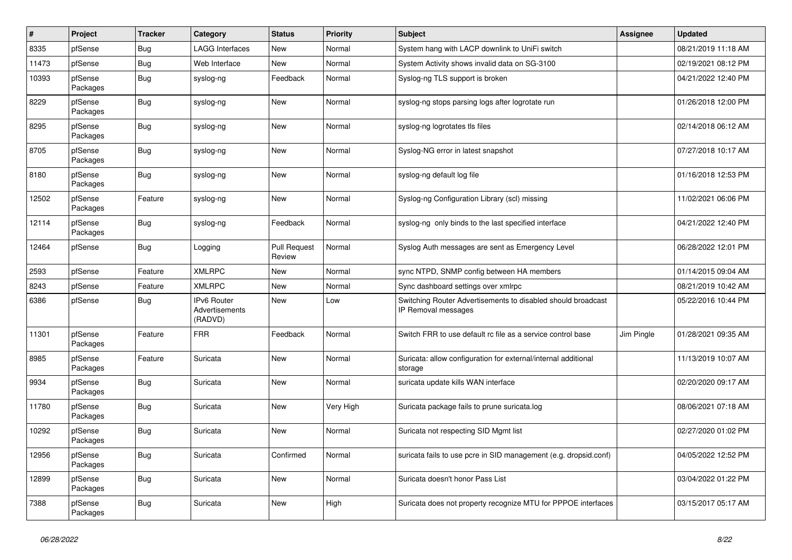| $\sharp$ | Project             | <b>Tracker</b> | Category                                        | <b>Status</b>                 | Priority  | <b>Subject</b>                                                                      | <b>Assignee</b> | <b>Updated</b>      |
|----------|---------------------|----------------|-------------------------------------------------|-------------------------------|-----------|-------------------------------------------------------------------------------------|-----------------|---------------------|
| 8335     | pfSense             | Bug            | <b>LAGG Interfaces</b>                          | <b>New</b>                    | Normal    | System hang with LACP downlink to UniFi switch                                      |                 | 08/21/2019 11:18 AM |
| 11473    | pfSense             | Bug            | Web Interface                                   | <b>New</b>                    | Normal    | System Activity shows invalid data on SG-3100                                       |                 | 02/19/2021 08:12 PM |
| 10393    | pfSense<br>Packages | <b>Bug</b>     | syslog-ng                                       | Feedback                      | Normal    | Syslog-ng TLS support is broken                                                     |                 | 04/21/2022 12:40 PM |
| 8229     | pfSense<br>Packages | Bug            | syslog-ng                                       | <b>New</b>                    | Normal    | syslog-ng stops parsing logs after logrotate run                                    |                 | 01/26/2018 12:00 PM |
| 8295     | pfSense<br>Packages | <b>Bug</b>     | syslog-ng                                       | <b>New</b>                    | Normal    | syslog-ng logrotates tls files                                                      |                 | 02/14/2018 06:12 AM |
| 8705     | pfSense<br>Packages | Bug            | syslog-ng                                       | <b>New</b>                    | Normal    | Syslog-NG error in latest snapshot                                                  |                 | 07/27/2018 10:17 AM |
| 8180     | pfSense<br>Packages | <b>Bug</b>     | syslog-ng                                       | <b>New</b>                    | Normal    | syslog-ng default log file                                                          |                 | 01/16/2018 12:53 PM |
| 12502    | pfSense<br>Packages | Feature        | syslog-ng                                       | <b>New</b>                    | Normal    | Syslog-ng Configuration Library (scl) missing                                       |                 | 11/02/2021 06:06 PM |
| 12114    | pfSense<br>Packages | Bug            | syslog-ng                                       | Feedback                      | Normal    | syslog-ng only binds to the last specified interface                                |                 | 04/21/2022 12:40 PM |
| 12464    | pfSense             | <b>Bug</b>     | Logging                                         | <b>Pull Request</b><br>Review | Normal    | Syslog Auth messages are sent as Emergency Level                                    |                 | 06/28/2022 12:01 PM |
| 2593     | pfSense             | Feature        | <b>XMLRPC</b>                                   | <b>New</b>                    | Normal    | sync NTPD, SNMP config between HA members                                           |                 | 01/14/2015 09:04 AM |
| 8243     | pfSense             | Feature        | <b>XMLRPC</b>                                   | <b>New</b>                    | Normal    | Sync dashboard settings over xmlrpc                                                 |                 | 08/21/2019 10:42 AM |
| 6386     | pfSense             | Bug            | <b>IPv6 Router</b><br>Advertisements<br>(RADVD) | <b>New</b>                    | Low       | Switching Router Advertisements to disabled should broadcast<br>IP Removal messages |                 | 05/22/2016 10:44 PM |
| 11301    | pfSense<br>Packages | Feature        | <b>FRR</b>                                      | Feedback                      | Normal    | Switch FRR to use default rc file as a service control base                         | Jim Pingle      | 01/28/2021 09:35 AM |
| 8985     | pfSense<br>Packages | Feature        | Suricata                                        | <b>New</b>                    | Normal    | Suricata: allow configuration for external/internal additional<br>storage           |                 | 11/13/2019 10:07 AM |
| 9934     | pfSense<br>Packages | Bug            | Suricata                                        | <b>New</b>                    | Normal    | suricata update kills WAN interface                                                 |                 | 02/20/2020 09:17 AM |
| 11780    | pfSense<br>Packages | Bug            | Suricata                                        | <b>New</b>                    | Very High | Suricata package fails to prune suricata.log                                        |                 | 08/06/2021 07:18 AM |
| 10292    | pfSense<br>Packages | Bug            | Suricata                                        | New                           | Normal    | Suricata not respecting SID Mgmt list                                               |                 | 02/27/2020 01:02 PM |
| 12956    | pfSense<br>Packages | Bug            | Suricata                                        | Confirmed                     | Normal    | suricata fails to use pcre in SID management (e.g. dropsid.conf)                    |                 | 04/05/2022 12:52 PM |
| 12899    | pfSense<br>Packages | Bug            | Suricata                                        | <b>New</b>                    | Normal    | Suricata doesn't honor Pass List                                                    |                 | 03/04/2022 01:22 PM |
| 7388     | pfSense<br>Packages | <b>Bug</b>     | Suricata                                        | <b>New</b>                    | High      | Suricata does not property recognize MTU for PPPOE interfaces                       |                 | 03/15/2017 05:17 AM |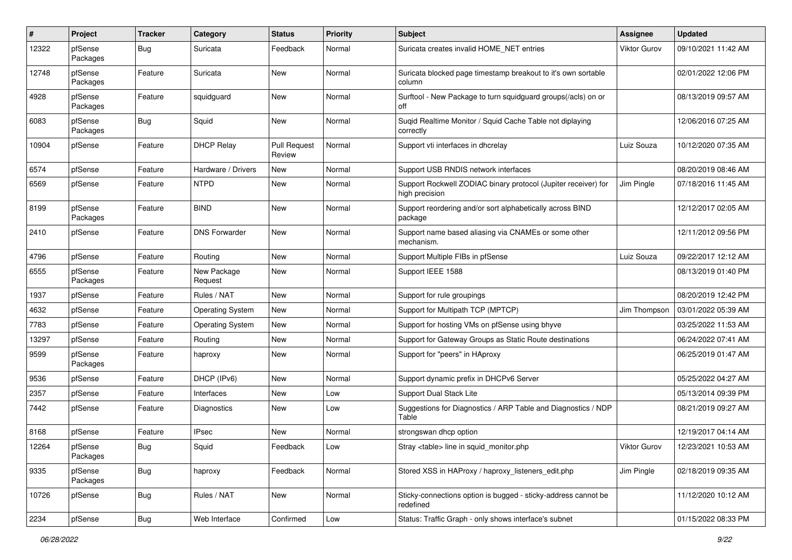| #     | Project             | <b>Tracker</b> | Category                | <b>Status</b>                 | <b>Priority</b> | Subject                                                                          | <b>Assignee</b> | <b>Updated</b>      |
|-------|---------------------|----------------|-------------------------|-------------------------------|-----------------|----------------------------------------------------------------------------------|-----------------|---------------------|
| 12322 | pfSense<br>Packages | <b>Bug</b>     | Suricata                | Feedback                      | Normal          | Suricata creates invalid HOME_NET entries                                        | Viktor Gurov    | 09/10/2021 11:42 AM |
| 12748 | pfSense<br>Packages | Feature        | Suricata                | New                           | Normal          | Suricata blocked page timestamp breakout to it's own sortable<br>column          |                 | 02/01/2022 12:06 PM |
| 4928  | pfSense<br>Packages | Feature        | squidguard              | New                           | Normal          | Surftool - New Package to turn squidguard groups(/acls) on or<br>off             |                 | 08/13/2019 09:57 AM |
| 6083  | pfSense<br>Packages | <b>Bug</b>     | Squid                   | New                           | Normal          | Suqid Realtime Monitor / Squid Cache Table not diplaying<br>correctly            |                 | 12/06/2016 07:25 AM |
| 10904 | pfSense             | Feature        | <b>DHCP Relay</b>       | <b>Pull Request</b><br>Review | Normal          | Support vti interfaces in dhcrelay                                               | Luiz Souza      | 10/12/2020 07:35 AM |
| 6574  | pfSense             | Feature        | Hardware / Drivers      | New                           | Normal          | Support USB RNDIS network interfaces                                             |                 | 08/20/2019 08:46 AM |
| 6569  | pfSense             | Feature        | <b>NTPD</b>             | New                           | Normal          | Support Rockwell ZODIAC binary protocol (Jupiter receiver) for<br>high precision | Jim Pingle      | 07/18/2016 11:45 AM |
| 8199  | pfSense<br>Packages | Feature        | <b>BIND</b>             | New                           | Normal          | Support reordering and/or sort alphabetically across BIND<br>package             |                 | 12/12/2017 02:05 AM |
| 2410  | pfSense             | Feature        | <b>DNS Forwarder</b>    | New                           | Normal          | Support name based aliasing via CNAMEs or some other<br>mechanism.               |                 | 12/11/2012 09:56 PM |
| 4796  | pfSense             | Feature        | Routing                 | New                           | Normal          | Support Multiple FIBs in pfSense                                                 | Luiz Souza      | 09/22/2017 12:12 AM |
| 6555  | pfSense<br>Packages | Feature        | New Package<br>Request  | New                           | Normal          | Support IEEE 1588                                                                |                 | 08/13/2019 01:40 PM |
| 1937  | pfSense             | Feature        | Rules / NAT             | <b>New</b>                    | Normal          | Support for rule groupings                                                       |                 | 08/20/2019 12:42 PM |
| 4632  | pfSense             | Feature        | <b>Operating System</b> | New                           | Normal          | Support for Multipath TCP (MPTCP)                                                | Jim Thompson    | 03/01/2022 05:39 AM |
| 7783  | pfSense             | Feature        | <b>Operating System</b> | New                           | Normal          | Support for hosting VMs on pfSense using bhyve                                   |                 | 03/25/2022 11:53 AM |
| 13297 | pfSense             | Feature        | Routing                 | New                           | Normal          | Support for Gateway Groups as Static Route destinations                          |                 | 06/24/2022 07:41 AM |
| 9599  | pfSense<br>Packages | Feature        | haproxy                 | New                           | Normal          | Support for "peers" in HAproxy                                                   |                 | 06/25/2019 01:47 AM |
| 9536  | pfSense             | Feature        | DHCP (IPv6)             | New                           | Normal          | Support dynamic prefix in DHCPv6 Server                                          |                 | 05/25/2022 04:27 AM |
| 2357  | pfSense             | Feature        | Interfaces              | New                           | Low             | Support Dual Stack Lite                                                          |                 | 05/13/2014 09:39 PM |
| 7442  | pfSense             | Feature        | Diagnostics             | New                           | Low             | Suggestions for Diagnostics / ARP Table and Diagnostics / NDP<br>Table           |                 | 08/21/2019 09:27 AM |
| 8168  | pfSense             | Feature        | <b>IPsec</b>            | New                           | Normal          | strongswan dhcp option                                                           |                 | 12/19/2017 04:14 AM |
| 12264 | pfSense<br>Packages | Bug            | Squid                   | Feedback                      | Low             | Stray <table> line in squid_monitor.php</table>                                  | Viktor Gurov    | 12/23/2021 10:53 AM |
| 9335  | pfSense<br>Packages | Bug            | haproxy                 | Feedback                      | Normal          | Stored XSS in HAProxy / haproxy_listeners_edit.php                               | Jim Pingle      | 02/18/2019 09:35 AM |
| 10726 | pfSense             | <b>Bug</b>     | Rules / NAT             | New                           | Normal          | Sticky-connections option is bugged - sticky-address cannot be<br>redefined      |                 | 11/12/2020 10:12 AM |
| 2234  | pfSense             | <b>Bug</b>     | Web Interface           | Confirmed                     | Low             | Status: Traffic Graph - only shows interface's subnet                            |                 | 01/15/2022 08:33 PM |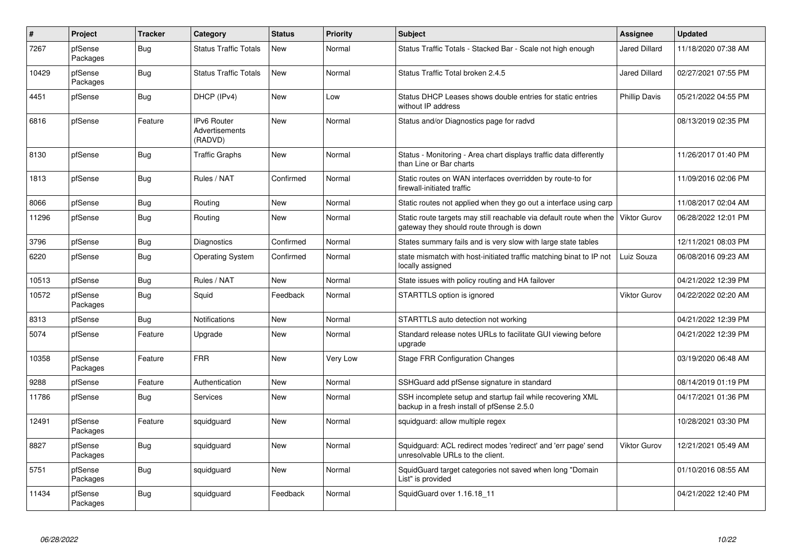| $\pmb{\#}$ | Project             | <b>Tracker</b> | Category                                        | <b>Status</b> | <b>Priority</b> | <b>Subject</b>                                                                                                                | Assignee             | <b>Updated</b>      |
|------------|---------------------|----------------|-------------------------------------------------|---------------|-----------------|-------------------------------------------------------------------------------------------------------------------------------|----------------------|---------------------|
| 7267       | pfSense<br>Packages | Bug            | <b>Status Traffic Totals</b>                    | New           | Normal          | Status Traffic Totals - Stacked Bar - Scale not high enough                                                                   | <b>Jared Dillard</b> | 11/18/2020 07:38 AM |
| 10429      | pfSense<br>Packages | Bug            | <b>Status Traffic Totals</b>                    | New           | Normal          | Status Traffic Total broken 2.4.5                                                                                             | <b>Jared Dillard</b> | 02/27/2021 07:55 PM |
| 4451       | pfSense             | <b>Bug</b>     | DHCP (IPv4)                                     | New           | Low             | Status DHCP Leases shows double entries for static entries<br>without IP address                                              | <b>Phillip Davis</b> | 05/21/2022 04:55 PM |
| 6816       | pfSense             | Feature        | <b>IPv6 Router</b><br>Advertisements<br>(RADVD) | <b>New</b>    | Normal          | Status and/or Diagnostics page for radvd                                                                                      |                      | 08/13/2019 02:35 PM |
| 8130       | pfSense             | <b>Bug</b>     | <b>Traffic Graphs</b>                           | New           | Normal          | Status - Monitoring - Area chart displays traffic data differently<br>than Line or Bar charts                                 |                      | 11/26/2017 01:40 PM |
| 1813       | pfSense             | <b>Bug</b>     | Rules / NAT                                     | Confirmed     | Normal          | Static routes on WAN interfaces overridden by route-to for<br>firewall-initiated traffic                                      |                      | 11/09/2016 02:06 PM |
| 8066       | pfSense             | Bug            | Routing                                         | New           | Normal          | Static routes not applied when they go out a interface using carp                                                             |                      | 11/08/2017 02:04 AM |
| 11296      | pfSense             | <b>Bug</b>     | Routing                                         | New           | Normal          | Static route targets may still reachable via default route when the Viktor Gurov<br>gateway they should route through is down |                      | 06/28/2022 12:01 PM |
| 3796       | pfSense             | Bug            | Diagnostics                                     | Confirmed     | Normal          | States summary fails and is very slow with large state tables                                                                 |                      | 12/11/2021 08:03 PM |
| 6220       | pfSense             | <b>Bug</b>     | <b>Operating System</b>                         | Confirmed     | Normal          | state mismatch with host-initiated traffic matching binat to IP not<br>locally assigned                                       | Luiz Souza           | 06/08/2016 09:23 AM |
| 10513      | pfSense             | Bug            | Rules / NAT                                     | New           | Normal          | State issues with policy routing and HA failover                                                                              |                      | 04/21/2022 12:39 PM |
| 10572      | pfSense<br>Packages | Bug            | Squid                                           | Feedback      | Normal          | STARTTLS option is ignored                                                                                                    | <b>Viktor Gurov</b>  | 04/22/2022 02:20 AM |
| 8313       | pfSense             | Bug            | <b>Notifications</b>                            | New           | Normal          | STARTTLS auto detection not working                                                                                           |                      | 04/21/2022 12:39 PM |
| 5074       | pfSense             | Feature        | Upgrade                                         | New           | Normal          | Standard release notes URLs to facilitate GUI viewing before<br>upgrade                                                       |                      | 04/21/2022 12:39 PM |
| 10358      | pfSense<br>Packages | Feature        | <b>FRR</b>                                      | New           | Very Low        | <b>Stage FRR Configuration Changes</b>                                                                                        |                      | 03/19/2020 06:48 AM |
| 9288       | pfSense             | Feature        | Authentication                                  | New           | Normal          | SSHGuard add pfSense signature in standard                                                                                    |                      | 08/14/2019 01:19 PM |
| 11786      | pfSense             | <b>Bug</b>     | Services                                        | New           | Normal          | SSH incomplete setup and startup fail while recovering XML<br>backup in a fresh install of pfSense 2.5.0                      |                      | 04/17/2021 01:36 PM |
| 12491      | pfSense<br>Packages | Feature        | squidguard                                      | New           | Normal          | squidguard: allow multiple regex                                                                                              |                      | 10/28/2021 03:30 PM |
| 8827       | pfSense<br>Packages | Bug            | squidguard                                      | New           | Normal          | Squidguard: ACL redirect modes 'redirect' and 'err page' send<br>unresolvable URLs to the client.                             | <b>Viktor Gurov</b>  | 12/21/2021 05:49 AM |
| 5751       | pfSense<br>Packages | <b>Bug</b>     | squidguard                                      | New           | Normal          | SquidGuard target categories not saved when long "Domain<br>List" is provided                                                 |                      | 01/10/2016 08:55 AM |
| 11434      | pfSense<br>Packages | Bug            | squidguard                                      | Feedback      | Normal          | SquidGuard over 1.16.18 11                                                                                                    |                      | 04/21/2022 12:40 PM |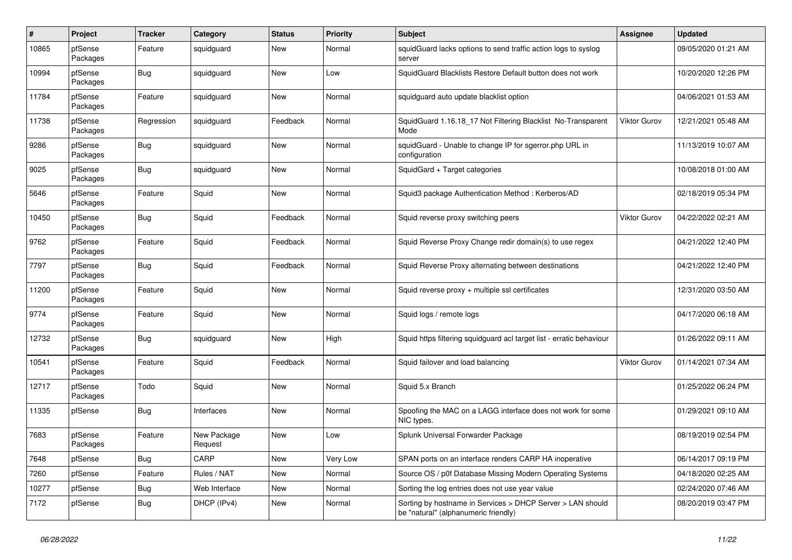| $\#$  | Project             | <b>Tracker</b> | Category               | <b>Status</b> | <b>Priority</b> | <b>Subject</b>                                                                                     | <b>Assignee</b>     | <b>Updated</b>      |
|-------|---------------------|----------------|------------------------|---------------|-----------------|----------------------------------------------------------------------------------------------------|---------------------|---------------------|
| 10865 | pfSense<br>Packages | Feature        | squidguard             | New           | Normal          | squidGuard lacks options to send traffic action logs to syslog<br>server                           |                     | 09/05/2020 01:21 AM |
| 10994 | pfSense<br>Packages | Bug            | squidguard             | New           | Low             | SquidGuard Blacklists Restore Default button does not work                                         |                     | 10/20/2020 12:26 PM |
| 11784 | pfSense<br>Packages | Feature        | squidguard             | New           | Normal          | squidguard auto update blacklist option                                                            |                     | 04/06/2021 01:53 AM |
| 11738 | pfSense<br>Packages | Regression     | squidguard             | Feedback      | Normal          | SquidGuard 1.16.18_17 Not Filtering Blacklist No-Transparent<br>Mode                               | <b>Viktor Gurov</b> | 12/21/2021 05:48 AM |
| 9286  | pfSense<br>Packages | <b>Bug</b>     | squidguard             | New           | Normal          | squidGuard - Unable to change IP for sgerror.php URL in<br>configuration                           |                     | 11/13/2019 10:07 AM |
| 9025  | pfSense<br>Packages | <b>Bug</b>     | squidguard             | <b>New</b>    | Normal          | SquidGard + Target categories                                                                      |                     | 10/08/2018 01:00 AM |
| 5646  | pfSense<br>Packages | Feature        | Squid                  | New           | Normal          | Squid3 package Authentication Method: Kerberos/AD                                                  |                     | 02/18/2019 05:34 PM |
| 10450 | pfSense<br>Packages | Bug            | Squid                  | Feedback      | Normal          | Squid reverse proxy switching peers                                                                | <b>Viktor Gurov</b> | 04/22/2022 02:21 AM |
| 9762  | pfSense<br>Packages | Feature        | Squid                  | Feedback      | Normal          | Squid Reverse Proxy Change redir domain(s) to use regex                                            |                     | 04/21/2022 12:40 PM |
| 7797  | pfSense<br>Packages | <b>Bug</b>     | Squid                  | Feedback      | Normal          | Squid Reverse Proxy alternating between destinations                                               |                     | 04/21/2022 12:40 PM |
| 11200 | pfSense<br>Packages | Feature        | Squid                  | New           | Normal          | Squid reverse proxy + multiple ssl certificates                                                    |                     | 12/31/2020 03:50 AM |
| 9774  | pfSense<br>Packages | Feature        | Squid                  | <b>New</b>    | Normal          | Squid logs / remote logs                                                                           |                     | 04/17/2020 06:18 AM |
| 12732 | pfSense<br>Packages | <b>Bug</b>     | squidguard             | New           | High            | Squid https filtering squidguard acl target list - erratic behaviour                               |                     | 01/26/2022 09:11 AM |
| 10541 | pfSense<br>Packages | Feature        | Squid                  | Feedback      | Normal          | Squid failover and load balancing                                                                  | <b>Viktor Gurov</b> | 01/14/2021 07:34 AM |
| 12717 | pfSense<br>Packages | Todo           | Squid                  | New           | Normal          | Squid 5.x Branch                                                                                   |                     | 01/25/2022 06:24 PM |
| 11335 | pfSense             | Bug            | Interfaces             | New           | Normal          | Spoofing the MAC on a LAGG interface does not work for some<br>NIC types.                          |                     | 01/29/2021 09:10 AM |
| 7683  | pfSense<br>Packages | Feature        | New Package<br>Request | New           | Low             | Splunk Universal Forwarder Package                                                                 |                     | 08/19/2019 02:54 PM |
| 7648  | pfSense             | <b>Bug</b>     | CARP                   | New           | Very Low        | SPAN ports on an interface renders CARP HA inoperative                                             |                     | 06/14/2017 09:19 PM |
| 7260  | pfSense             | Feature        | Rules / NAT            | New           | Normal          | Source OS / p0f Database Missing Modern Operating Systems                                          |                     | 04/18/2020 02:25 AM |
| 10277 | pfSense             | <b>Bug</b>     | Web Interface          | New           | Normal          | Sorting the log entries does not use year value                                                    |                     | 02/24/2020 07:46 AM |
| 7172  | pfSense             | <b>Bug</b>     | DHCP (IPv4)            | New           | Normal          | Sorting by hostname in Services > DHCP Server > LAN should<br>be "natural" (alphanumeric friendly) |                     | 08/20/2019 03:47 PM |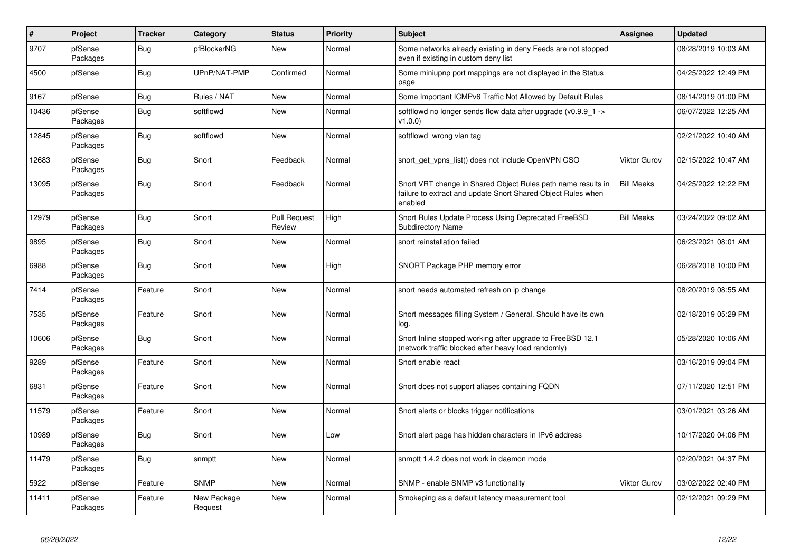| $\sharp$ | Project             | <b>Tracker</b> | Category               | <b>Status</b>                 | Priority | <b>Subject</b>                                                                                                                          | Assignee            | <b>Updated</b>      |
|----------|---------------------|----------------|------------------------|-------------------------------|----------|-----------------------------------------------------------------------------------------------------------------------------------------|---------------------|---------------------|
| 9707     | pfSense<br>Packages | <b>Bug</b>     | pfBlockerNG            | New                           | Normal   | Some networks already existing in deny Feeds are not stopped<br>even if existing in custom deny list                                    |                     | 08/28/2019 10:03 AM |
| 4500     | pfSense             | <b>Bug</b>     | UPnP/NAT-PMP           | Confirmed                     | Normal   | Some miniupnp port mappings are not displayed in the Status<br>page                                                                     |                     | 04/25/2022 12:49 PM |
| 9167     | pfSense             | <b>Bug</b>     | Rules / NAT            | New                           | Normal   | Some Important ICMPv6 Traffic Not Allowed by Default Rules                                                                              |                     | 08/14/2019 01:00 PM |
| 10436    | pfSense<br>Packages | <b>Bug</b>     | softflowd              | New                           | Normal   | softflowd no longer sends flow data after upgrade ( $v0.9.9$ 1 -><br>v1.0.0                                                             |                     | 06/07/2022 12:25 AM |
| 12845    | pfSense<br>Packages | Bug            | softflowd              | <b>New</b>                    | Normal   | softflowd wrong vlan tag                                                                                                                |                     | 02/21/2022 10:40 AM |
| 12683    | pfSense<br>Packages | <b>Bug</b>     | Snort                  | Feedback                      | Normal   | snort get vpns list() does not include OpenVPN CSO                                                                                      | <b>Viktor Gurov</b> | 02/15/2022 10:47 AM |
| 13095    | pfSense<br>Packages | Bug            | Snort                  | Feedback                      | Normal   | Snort VRT change in Shared Object Rules path name results in<br>failure to extract and update Snort Shared Object Rules when<br>enabled | <b>Bill Meeks</b>   | 04/25/2022 12:22 PM |
| 12979    | pfSense<br>Packages | <b>Bug</b>     | Snort                  | <b>Pull Request</b><br>Review | High     | Snort Rules Update Process Using Deprecated FreeBSD<br><b>Subdirectory Name</b>                                                         | <b>Bill Meeks</b>   | 03/24/2022 09:02 AM |
| 9895     | pfSense<br>Packages | Bug            | Snort                  | New                           | Normal   | snort reinstallation failed                                                                                                             |                     | 06/23/2021 08:01 AM |
| 6988     | pfSense<br>Packages | <b>Bug</b>     | Snort                  | New                           | High     | SNORT Package PHP memory error                                                                                                          |                     | 06/28/2018 10:00 PM |
| 7414     | pfSense<br>Packages | Feature        | Snort                  | New                           | Normal   | snort needs automated refresh on ip change                                                                                              |                     | 08/20/2019 08:55 AM |
| 7535     | pfSense<br>Packages | Feature        | Snort                  | New                           | Normal   | Snort messages filling System / General. Should have its own<br>log.                                                                    |                     | 02/18/2019 05:29 PM |
| 10606    | pfSense<br>Packages | <b>Bug</b>     | Snort                  | <b>New</b>                    | Normal   | Snort Inline stopped working after upgrade to FreeBSD 12.1<br>(network traffic blocked after heavy load randomly)                       |                     | 05/28/2020 10:06 AM |
| 9289     | pfSense<br>Packages | Feature        | Snort                  | New                           | Normal   | Snort enable react                                                                                                                      |                     | 03/16/2019 09:04 PM |
| 6831     | pfSense<br>Packages | Feature        | Snort                  | New                           | Normal   | Snort does not support aliases containing FQDN                                                                                          |                     | 07/11/2020 12:51 PM |
| 11579    | pfSense<br>Packages | Feature        | Snort                  | New                           | Normal   | Snort alerts or blocks trigger notifications                                                                                            |                     | 03/01/2021 03:26 AM |
| 10989    | pfSense<br>Packages | <b>Bug</b>     | Snort                  | New                           | Low      | Snort alert page has hidden characters in IPv6 address                                                                                  |                     | 10/17/2020 04:06 PM |
| 11479    | pfSense<br>Packages | <b>Bug</b>     | snmptt                 | New                           | Normal   | snmptt 1.4.2 does not work in daemon mode                                                                                               |                     | 02/20/2021 04:37 PM |
| 5922     | pfSense             | Feature        | <b>SNMP</b>            | New                           | Normal   | SNMP - enable SNMP v3 functionality                                                                                                     | <b>Viktor Gurov</b> | 03/02/2022 02:40 PM |
| 11411    | pfSense<br>Packages | Feature        | New Package<br>Request | New                           | Normal   | Smokeping as a default latency measurement tool                                                                                         |                     | 02/12/2021 09:29 PM |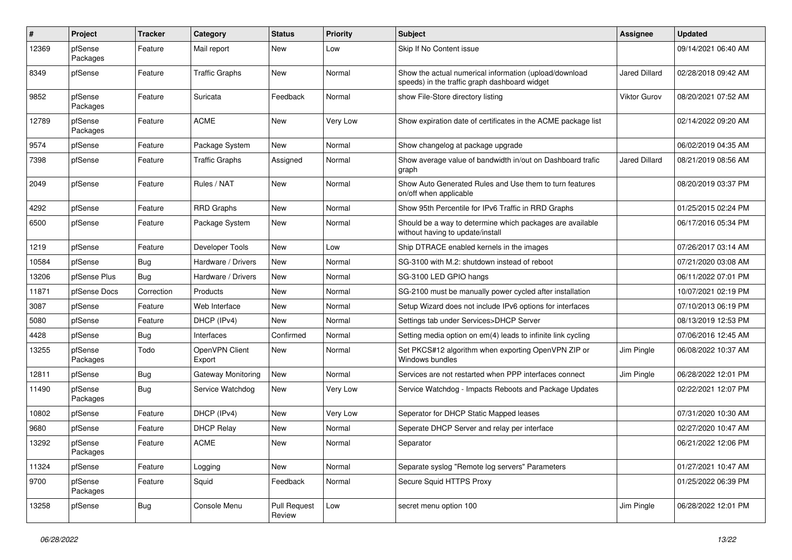| $\pmb{\#}$ | Project             | <b>Tracker</b> | Category                 | <b>Status</b>                 | <b>Priority</b> | Subject                                                                                                 | <b>Assignee</b>     | <b>Updated</b>      |
|------------|---------------------|----------------|--------------------------|-------------------------------|-----------------|---------------------------------------------------------------------------------------------------------|---------------------|---------------------|
| 12369      | pfSense<br>Packages | Feature        | Mail report              | New                           | Low             | Skip If No Content issue                                                                                |                     | 09/14/2021 06:40 AM |
| 8349       | pfSense             | Feature        | <b>Traffic Graphs</b>    | New                           | Normal          | Show the actual numerical information (upload/download<br>speeds) in the traffic graph dashboard widget | Jared Dillard       | 02/28/2018 09:42 AM |
| 9852       | pfSense<br>Packages | Feature        | Suricata                 | Feedback                      | Normal          | show File-Store directory listing                                                                       | <b>Viktor Gurov</b> | 08/20/2021 07:52 AM |
| 12789      | pfSense<br>Packages | Feature        | <b>ACME</b>              | New                           | Very Low        | Show expiration date of certificates in the ACME package list                                           |                     | 02/14/2022 09:20 AM |
| 9574       | pfSense             | Feature        | Package System           | New                           | Normal          | Show changelog at package upgrade                                                                       |                     | 06/02/2019 04:35 AM |
| 7398       | pfSense             | Feature        | <b>Traffic Graphs</b>    | Assigned                      | Normal          | Show average value of bandwidth in/out on Dashboard trafic<br>graph                                     | Jared Dillard       | 08/21/2019 08:56 AM |
| 2049       | pfSense             | Feature        | Rules / NAT              | New                           | Normal          | Show Auto Generated Rules and Use them to turn features<br>on/off when applicable                       |                     | 08/20/2019 03:37 PM |
| 4292       | pfSense             | Feature        | <b>RRD Graphs</b>        | <b>New</b>                    | Normal          | Show 95th Percentile for IPv6 Traffic in RRD Graphs                                                     |                     | 01/25/2015 02:24 PM |
| 6500       | pfSense             | Feature        | Package System           | New                           | Normal          | Should be a way to determine which packages are available<br>without having to update/install           |                     | 06/17/2016 05:34 PM |
| 1219       | pfSense             | Feature        | Developer Tools          | New                           | Low             | Ship DTRACE enabled kernels in the images                                                               |                     | 07/26/2017 03:14 AM |
| 10584      | pfSense             | Bug            | Hardware / Drivers       | <b>New</b>                    | Normal          | SG-3100 with M.2: shutdown instead of reboot                                                            |                     | 07/21/2020 03:08 AM |
| 13206      | pfSense Plus        | Bug            | Hardware / Drivers       | New                           | Normal          | SG-3100 LED GPIO hangs                                                                                  |                     | 06/11/2022 07:01 PM |
| 11871      | pfSense Docs        | Correction     | Products                 | New                           | Normal          | SG-2100 must be manually power cycled after installation                                                |                     | 10/07/2021 02:19 PM |
| 3087       | pfSense             | Feature        | Web Interface            | New                           | Normal          | Setup Wizard does not include IPv6 options for interfaces                                               |                     | 07/10/2013 06:19 PM |
| 5080       | pfSense             | Feature        | DHCP (IPv4)              | <b>New</b>                    | Normal          | Settings tab under Services>DHCP Server                                                                 |                     | 08/13/2019 12:53 PM |
| 4428       | pfSense             | <b>Bug</b>     | Interfaces               | Confirmed                     | Normal          | Setting media option on em(4) leads to infinite link cycling                                            |                     | 07/06/2016 12:45 AM |
| 13255      | pfSense<br>Packages | Todo           | OpenVPN Client<br>Export | New                           | Normal          | Set PKCS#12 algorithm when exporting OpenVPN ZIP or<br>Windows bundles                                  | Jim Pingle          | 06/08/2022 10:37 AM |
| 12811      | pfSense             | Bug            | Gateway Monitoring       | <b>New</b>                    | Normal          | Services are not restarted when PPP interfaces connect                                                  | Jim Pingle          | 06/28/2022 12:01 PM |
| 11490      | pfSense<br>Packages | <b>Bug</b>     | Service Watchdog         | New                           | Very Low        | Service Watchdog - Impacts Reboots and Package Updates                                                  |                     | 02/22/2021 12:07 PM |
| 10802      | pfSense             | Feature        | DHCP (IPv4)              | New                           | Very Low        | Seperator for DHCP Static Mapped leases                                                                 |                     | 07/31/2020 10:30 AM |
| 9680       | pfSense             | Feature        | <b>DHCP Relay</b>        | New                           | Normal          | Seperate DHCP Server and relay per interface                                                            |                     | 02/27/2020 10:47 AM |
| 13292      | pfSense<br>Packages | Feature        | <b>ACME</b>              | New                           | Normal          | Separator                                                                                               |                     | 06/21/2022 12:06 PM |
| 11324      | pfSense             | Feature        | Logging                  | New                           | Normal          | Separate syslog "Remote log servers" Parameters                                                         |                     | 01/27/2021 10:47 AM |
| 9700       | pfSense<br>Packages | Feature        | Squid                    | Feedback                      | Normal          | Secure Squid HTTPS Proxy                                                                                |                     | 01/25/2022 06:39 PM |
| 13258      | pfSense             | <b>Bug</b>     | Console Menu             | <b>Pull Request</b><br>Review | Low             | secret menu option 100                                                                                  | Jim Pingle          | 06/28/2022 12:01 PM |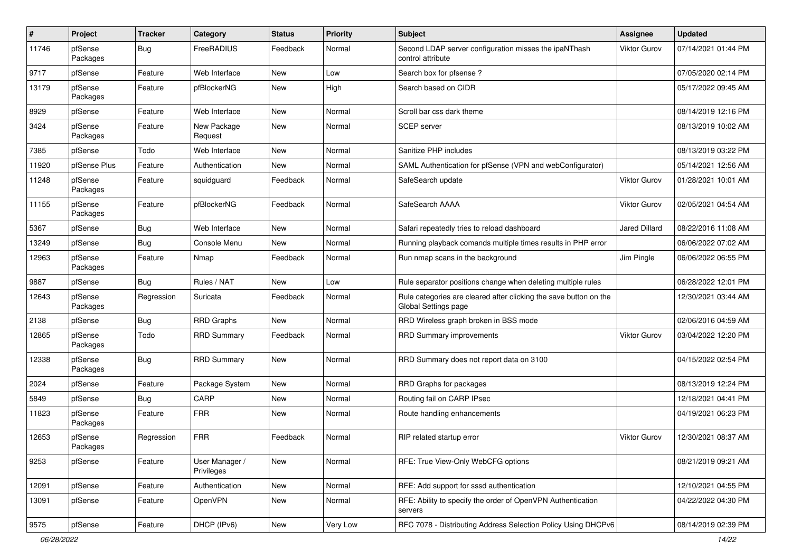| $\#$  | Project             | <b>Tracker</b> | Category                     | <b>Status</b> | <b>Priority</b> | Subject                                                                                   | <b>Assignee</b>      | <b>Updated</b>      |
|-------|---------------------|----------------|------------------------------|---------------|-----------------|-------------------------------------------------------------------------------------------|----------------------|---------------------|
| 11746 | pfSense<br>Packages | <b>Bug</b>     | FreeRADIUS                   | Feedback      | Normal          | Second LDAP server configuration misses the ipaNThash<br>control attribute                | <b>Viktor Gurov</b>  | 07/14/2021 01:44 PM |
| 9717  | pfSense             | Feature        | Web Interface                | New           | Low             | Search box for pfsense?                                                                   |                      | 07/05/2020 02:14 PM |
| 13179 | pfSense<br>Packages | Feature        | pfBlockerNG                  | New           | High            | Search based on CIDR                                                                      |                      | 05/17/2022 09:45 AM |
| 8929  | pfSense             | Feature        | Web Interface                | New           | Normal          | Scroll bar css dark theme                                                                 |                      | 08/14/2019 12:16 PM |
| 3424  | pfSense<br>Packages | Feature        | New Package<br>Request       | New           | Normal          | <b>SCEP</b> server                                                                        |                      | 08/13/2019 10:02 AM |
| 7385  | pfSense             | Todo           | Web Interface                | New           | Normal          | Sanitize PHP includes                                                                     |                      | 08/13/2019 03:22 PM |
| 11920 | pfSense Plus        | Feature        | Authentication               | New           | Normal          | SAML Authentication for pfSense (VPN and webConfigurator)                                 |                      | 05/14/2021 12:56 AM |
| 11248 | pfSense<br>Packages | Feature        | squidguard                   | Feedback      | Normal          | SafeSearch update                                                                         | <b>Viktor Gurov</b>  | 01/28/2021 10:01 AM |
| 11155 | pfSense<br>Packages | Feature        | pfBlockerNG                  | Feedback      | Normal          | SafeSearch AAAA                                                                           | <b>Viktor Gurov</b>  | 02/05/2021 04:54 AM |
| 5367  | pfSense             | <b>Bug</b>     | Web Interface                | New           | Normal          | Safari repeatedly tries to reload dashboard                                               | <b>Jared Dillard</b> | 08/22/2016 11:08 AM |
| 13249 | pfSense             | <b>Bug</b>     | Console Menu                 | New           | Normal          | Running playback comands multiple times results in PHP error                              |                      | 06/06/2022 07:02 AM |
| 12963 | pfSense<br>Packages | Feature        | Nmap                         | Feedback      | Normal          | Run nmap scans in the background                                                          | Jim Pingle           | 06/06/2022 06:55 PM |
| 9887  | pfSense             | Bug            | Rules / NAT                  | New           | Low             | Rule separator positions change when deleting multiple rules                              |                      | 06/28/2022 12:01 PM |
| 12643 | pfSense<br>Packages | Regression     | Suricata                     | Feedback      | Normal          | Rule categories are cleared after clicking the save button on the<br>Global Settings page |                      | 12/30/2021 03:44 AM |
| 2138  | pfSense             | <b>Bug</b>     | <b>RRD Graphs</b>            | New           | Normal          | RRD Wireless graph broken in BSS mode                                                     |                      | 02/06/2016 04:59 AM |
| 12865 | pfSense<br>Packages | Todo           | <b>RRD Summary</b>           | Feedback      | Normal          | RRD Summary improvements                                                                  | <b>Viktor Gurov</b>  | 03/04/2022 12:20 PM |
| 12338 | pfSense<br>Packages | Bug            | <b>RRD Summary</b>           | New           | Normal          | RRD Summary does not report data on 3100                                                  |                      | 04/15/2022 02:54 PM |
| 2024  | pfSense             | Feature        | Package System               | New           | Normal          | RRD Graphs for packages                                                                   |                      | 08/13/2019 12:24 PM |
| 5849  | pfSense             | Bug            | CARP                         | New           | Normal          | Routing fail on CARP IPsec                                                                |                      | 12/18/2021 04:41 PM |
| 11823 | pfSense<br>Packages | Feature        | <b>FRR</b>                   | New           | Normal          | Route handling enhancements                                                               |                      | 04/19/2021 06:23 PM |
| 12653 | pfSense<br>Packages | Regression     | FRR                          | Feedback      | Normal          | RIP related startup error                                                                 | Viktor Gurov         | 12/30/2021 08:37 AM |
| 9253  | pfSense             | Feature        | User Manager /<br>Privileges | New           | Normal          | RFE: True View-Only WebCFG options                                                        |                      | 08/21/2019 09:21 AM |
| 12091 | pfSense             | Feature        | Authentication               | New           | Normal          | RFE: Add support for sssd authentication                                                  |                      | 12/10/2021 04:55 PM |
| 13091 | pfSense             | Feature        | OpenVPN                      | New           | Normal          | RFE: Ability to specify the order of OpenVPN Authentication<br>servers                    |                      | 04/22/2022 04:30 PM |
| 9575  | pfSense             | Feature        | DHCP (IPv6)                  | New           | Very Low        | RFC 7078 - Distributing Address Selection Policy Using DHCPv6                             |                      | 08/14/2019 02:39 PM |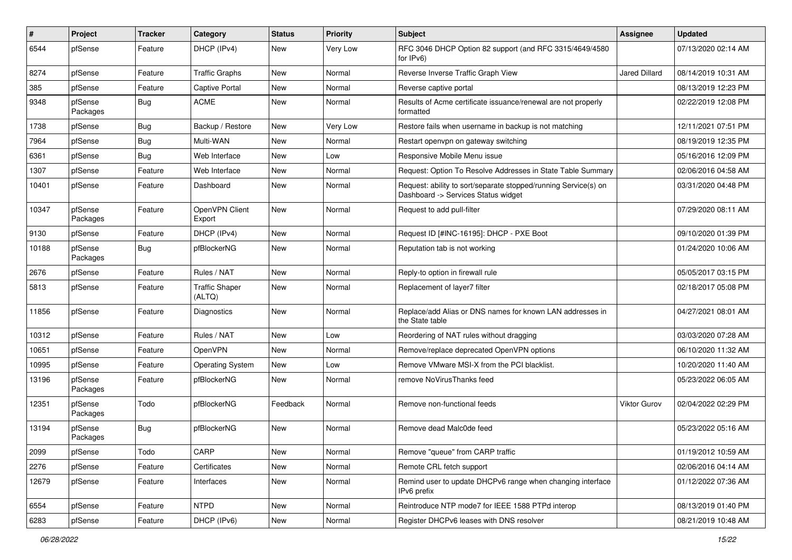| $\sharp$ | Project             | <b>Tracker</b> | Category                        | <b>Status</b> | <b>Priority</b> | <b>Subject</b>                                                                                         | <b>Assignee</b>      | <b>Updated</b>      |
|----------|---------------------|----------------|---------------------------------|---------------|-----------------|--------------------------------------------------------------------------------------------------------|----------------------|---------------------|
| 6544     | pfSense             | Feature        | DHCP (IPv4)                     | New           | Very Low        | RFC 3046 DHCP Option 82 support (and RFC 3315/4649/4580<br>for IPv6)                                   |                      | 07/13/2020 02:14 AM |
| 8274     | pfSense             | Feature        | <b>Traffic Graphs</b>           | New           | Normal          | Reverse Inverse Traffic Graph View                                                                     | <b>Jared Dillard</b> | 08/14/2019 10:31 AM |
| 385      | pfSense             | Feature        | <b>Captive Portal</b>           | New           | Normal          | Reverse captive portal                                                                                 |                      | 08/13/2019 12:23 PM |
| 9348     | pfSense<br>Packages | <b>Bug</b>     | <b>ACME</b>                     | New           | Normal          | Results of Acme certificate issuance/renewal are not properly<br>formatted                             |                      | 02/22/2019 12:08 PM |
| 1738     | pfSense             | <b>Bug</b>     | Backup / Restore                | New           | Very Low        | Restore fails when username in backup is not matching                                                  |                      | 12/11/2021 07:51 PM |
| 7964     | pfSense             | <b>Bug</b>     | Multi-WAN                       | New           | Normal          | Restart openvpn on gateway switching                                                                   |                      | 08/19/2019 12:35 PM |
| 6361     | pfSense             | <b>Bug</b>     | Web Interface                   | New           | Low             | Responsive Mobile Menu issue                                                                           |                      | 05/16/2016 12:09 PM |
| 1307     | pfSense             | Feature        | Web Interface                   | New           | Normal          | Request: Option To Resolve Addresses in State Table Summary                                            |                      | 02/06/2016 04:58 AM |
| 10401    | pfSense             | Feature        | Dashboard                       | New           | Normal          | Request: ability to sort/separate stopped/running Service(s) on<br>Dashboard -> Services Status widget |                      | 03/31/2020 04:48 PM |
| 10347    | pfSense<br>Packages | Feature        | OpenVPN Client<br>Export        | New           | Normal          | Request to add pull-filter                                                                             |                      | 07/29/2020 08:11 AM |
| 9130     | pfSense             | Feature        | DHCP (IPv4)                     | New           | Normal          | Request ID [#INC-16195]: DHCP - PXE Boot                                                               |                      | 09/10/2020 01:39 PM |
| 10188    | pfSense<br>Packages | Bug            | pfBlockerNG                     | New           | Normal          | Reputation tab is not working                                                                          |                      | 01/24/2020 10:06 AM |
| 2676     | pfSense             | Feature        | Rules / NAT                     | New           | Normal          | Reply-to option in firewall rule                                                                       |                      | 05/05/2017 03:15 PM |
| 5813     | pfSense             | Feature        | <b>Traffic Shaper</b><br>(ALTQ) | New           | Normal          | Replacement of layer7 filter                                                                           |                      | 02/18/2017 05:08 PM |
| 11856    | pfSense             | Feature        | Diagnostics                     | New           | Normal          | Replace/add Alias or DNS names for known LAN addresses in<br>the State table                           |                      | 04/27/2021 08:01 AM |
| 10312    | pfSense             | Feature        | Rules / NAT                     | New           | Low             | Reordering of NAT rules without dragging                                                               |                      | 03/03/2020 07:28 AM |
| 10651    | pfSense             | Feature        | OpenVPN                         | New           | Normal          | Remove/replace deprecated OpenVPN options                                                              |                      | 06/10/2020 11:32 AM |
| 10995    | pfSense             | Feature        | <b>Operating System</b>         | New           | Low             | Remove VMware MSI-X from the PCI blacklist.                                                            |                      | 10/20/2020 11:40 AM |
| 13196    | pfSense<br>Packages | Feature        | pfBlockerNG                     | New           | Normal          | remove NoVirusThanks feed                                                                              |                      | 05/23/2022 06:05 AM |
| 12351    | pfSense<br>Packages | Todo           | pfBlockerNG                     | Feedback      | Normal          | Remove non-functional feeds                                                                            | <b>Viktor Gurov</b>  | 02/04/2022 02:29 PM |
| 13194    | pfSense<br>Packages | <b>Bug</b>     | pfBlockerNG                     | New           | Normal          | Remove dead Malc0de feed                                                                               |                      | 05/23/2022 05:16 AM |
| 2099     | pfSense             | Todo           | CARP                            | New           | Normal          | Remove "queue" from CARP traffic                                                                       |                      | 01/19/2012 10:59 AM |
| 2276     | pfSense             | Feature        | Certificates                    | New           | Normal          | Remote CRL fetch support                                                                               |                      | 02/06/2016 04:14 AM |
| 12679    | pfSense             | Feature        | Interfaces                      | New           | Normal          | Remind user to update DHCPv6 range when changing interface<br>IPv6 prefix                              |                      | 01/12/2022 07:36 AM |
| 6554     | pfSense             | Feature        | <b>NTPD</b>                     | New           | Normal          | Reintroduce NTP mode7 for IEEE 1588 PTPd interop                                                       |                      | 08/13/2019 01:40 PM |
| 6283     | pfSense             | Feature        | DHCP (IPv6)                     | New           | Normal          | Register DHCPv6 leases with DNS resolver                                                               |                      | 08/21/2019 10:48 AM |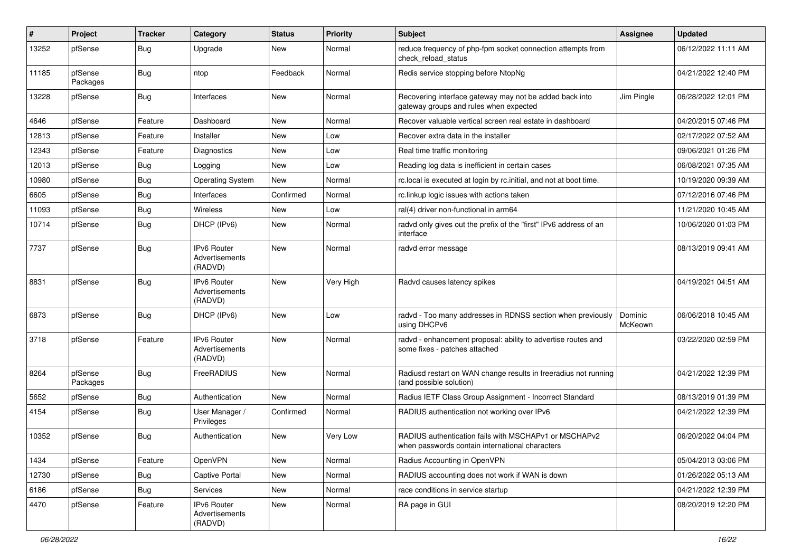| #     | Project             | <b>Tracker</b> | Category                                        | <b>Status</b> | <b>Priority</b> | <b>Subject</b>                                                                                           | <b>Assignee</b>    | <b>Updated</b>      |
|-------|---------------------|----------------|-------------------------------------------------|---------------|-----------------|----------------------------------------------------------------------------------------------------------|--------------------|---------------------|
| 13252 | pfSense             | <b>Bug</b>     | Upgrade                                         | New           | Normal          | reduce frequency of php-fpm socket connection attempts from<br>check reload status                       |                    | 06/12/2022 11:11 AM |
| 11185 | pfSense<br>Packages | <b>Bug</b>     | ntop                                            | Feedback      | Normal          | Redis service stopping before NtopNg                                                                     |                    | 04/21/2022 12:40 PM |
| 13228 | pfSense             | <b>Bug</b>     | Interfaces                                      | <b>New</b>    | Normal          | Recovering interface gateway may not be added back into<br>gateway groups and rules when expected        | Jim Pingle         | 06/28/2022 12:01 PM |
| 4646  | pfSense             | Feature        | Dashboard                                       | <b>New</b>    | Normal          | Recover valuable vertical screen real estate in dashboard                                                |                    | 04/20/2015 07:46 PM |
| 12813 | pfSense             | Feature        | Installer                                       | New           | Low             | Recover extra data in the installer                                                                      |                    | 02/17/2022 07:52 AM |
| 12343 | pfSense             | Feature        | Diagnostics                                     | New           | Low             | Real time traffic monitoring                                                                             |                    | 09/06/2021 01:26 PM |
| 12013 | pfSense             | Bug            | Logging                                         | New           | Low             | Reading log data is inefficient in certain cases                                                         |                    | 06/08/2021 07:35 AM |
| 10980 | pfSense             | <b>Bug</b>     | <b>Operating System</b>                         | New           | Normal          | rc.local is executed at login by rc.initial, and not at boot time.                                       |                    | 10/19/2020 09:39 AM |
| 6605  | pfSense             | <b>Bug</b>     | Interfaces                                      | Confirmed     | Normal          | rc.linkup logic issues with actions taken                                                                |                    | 07/12/2016 07:46 PM |
| 11093 | pfSense             | <b>Bug</b>     | Wireless                                        | <b>New</b>    | Low             | ral(4) driver non-functional in arm64                                                                    |                    | 11/21/2020 10:45 AM |
| 10714 | pfSense             | <b>Bug</b>     | DHCP (IPv6)                                     | New           | Normal          | radvd only gives out the prefix of the "first" IPv6 address of an<br>interface                           |                    | 10/06/2020 01:03 PM |
| 7737  | pfSense             | <b>Bug</b>     | IPv6 Router<br>Advertisements<br>(RADVD)        | New           | Normal          | radvd error message                                                                                      |                    | 08/13/2019 09:41 AM |
| 8831  | pfSense             | <b>Bug</b>     | <b>IPv6 Router</b><br>Advertisements<br>(RADVD) | New           | Very High       | Radvd causes latency spikes                                                                              |                    | 04/19/2021 04:51 AM |
| 6873  | pfSense             | <b>Bug</b>     | DHCP (IPv6)                                     | <b>New</b>    | Low             | radvd - Too many addresses in RDNSS section when previously<br>using DHCPv6                              | Dominic<br>McKeown | 06/06/2018 10:45 AM |
| 3718  | pfSense             | Feature        | <b>IPv6 Router</b><br>Advertisements<br>(RADVD) | <b>New</b>    | Normal          | radvd - enhancement proposal: ability to advertise routes and<br>some fixes - patches attached           |                    | 03/22/2020 02:59 PM |
| 8264  | pfSense<br>Packages | <b>Bug</b>     | FreeRADIUS                                      | <b>New</b>    | Normal          | Radiusd restart on WAN change results in freeradius not running<br>(and possible solution)               |                    | 04/21/2022 12:39 PM |
| 5652  | pfSense             | <b>Bug</b>     | Authentication                                  | <b>New</b>    | Normal          | Radius IETF Class Group Assignment - Incorrect Standard                                                  |                    | 08/13/2019 01:39 PM |
| 4154  | pfSense             | <b>Bug</b>     | User Manager /<br>Privileges                    | Confirmed     | Normal          | RADIUS authentication not working over IPv6                                                              |                    | 04/21/2022 12:39 PM |
| 10352 | pfSense             | Bug            | Authentication                                  | <b>New</b>    | Very Low        | RADIUS authentication fails with MSCHAPv1 or MSCHAPv2<br>when passwords contain international characters |                    | 06/20/2022 04:04 PM |
| 1434  | pfSense             | Feature        | OpenVPN                                         | New           | Normal          | Radius Accounting in OpenVPN                                                                             |                    | 05/04/2013 03:06 PM |
| 12730 | pfSense             | Bug            | Captive Portal                                  | New           | Normal          | RADIUS accounting does not work if WAN is down                                                           |                    | 01/26/2022 05:13 AM |
| 6186  | pfSense             | <b>Bug</b>     | <b>Services</b>                                 | New           | Normal          | race conditions in service startup                                                                       |                    | 04/21/2022 12:39 PM |
| 4470  | pfSense             | Feature        | IPv6 Router<br>Advertisements<br>(RADVD)        | New           | Normal          | RA page in GUI                                                                                           |                    | 08/20/2019 12:20 PM |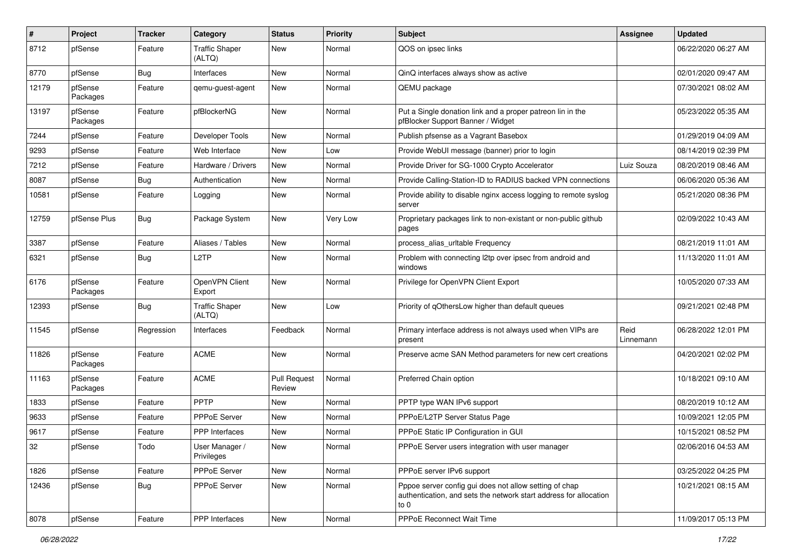| #     | Project             | <b>Tracker</b> | Category                        | <b>Status</b>                 | <b>Priority</b> | <b>Subject</b>                                                                                                                      | <b>Assignee</b>   | <b>Updated</b>      |
|-------|---------------------|----------------|---------------------------------|-------------------------------|-----------------|-------------------------------------------------------------------------------------------------------------------------------------|-------------------|---------------------|
| 8712  | pfSense             | Feature        | <b>Traffic Shaper</b><br>(ALTQ) | New                           | Normal          | QOS on ipsec links                                                                                                                  |                   | 06/22/2020 06:27 AM |
| 8770  | pfSense             | Bug            | Interfaces                      | New                           | Normal          | QinQ interfaces always show as active                                                                                               |                   | 02/01/2020 09:47 AM |
| 12179 | pfSense<br>Packages | Feature        | gemu-guest-agent                | New                           | Normal          | QEMU package                                                                                                                        |                   | 07/30/2021 08:02 AM |
| 13197 | pfSense<br>Packages | Feature        | pfBlockerNG                     | New                           | Normal          | Put a Single donation link and a proper patreon lin in the<br>pfBlocker Support Banner / Widget                                     |                   | 05/23/2022 05:35 AM |
| 7244  | pfSense             | Feature        | Developer Tools                 | New                           | Normal          | Publish pfsense as a Vagrant Basebox                                                                                                |                   | 01/29/2019 04:09 AM |
| 9293  | pfSense             | Feature        | Web Interface                   | New                           | Low             | Provide WebUI message (banner) prior to login                                                                                       |                   | 08/14/2019 02:39 PM |
| 7212  | pfSense             | Feature        | Hardware / Drivers              | New                           | Normal          | Provide Driver for SG-1000 Crypto Accelerator                                                                                       | Luiz Souza        | 08/20/2019 08:46 AM |
| 8087  | pfSense             | <b>Bug</b>     | Authentication                  | New                           | Normal          | Provide Calling-Station-ID to RADIUS backed VPN connections                                                                         |                   | 06/06/2020 05:36 AM |
| 10581 | pfSense             | Feature        | Logging                         | New                           | Normal          | Provide ability to disable nginx access logging to remote syslog<br>server                                                          |                   | 05/21/2020 08:36 PM |
| 12759 | pfSense Plus        | <b>Bug</b>     | Package System                  | New                           | Very Low        | Proprietary packages link to non-existant or non-public github<br>pages                                                             |                   | 02/09/2022 10:43 AM |
| 3387  | pfSense             | Feature        | Aliases / Tables                | New                           | Normal          | process alias urltable Frequency                                                                                                    |                   | 08/21/2019 11:01 AM |
| 6321  | pfSense             | Bug            | L2TP                            | New                           | Normal          | Problem with connecting l2tp over ipsec from android and<br>windows                                                                 |                   | 11/13/2020 11:01 AM |
| 6176  | pfSense<br>Packages | Feature        | OpenVPN Client<br>Export        | New                           | Normal          | Privilege for OpenVPN Client Export                                                                                                 |                   | 10/05/2020 07:33 AM |
| 12393 | pfSense             | <b>Bug</b>     | <b>Traffic Shaper</b><br>(ALTQ) | New                           | Low             | Priority of qOthersLow higher than default queues                                                                                   |                   | 09/21/2021 02:48 PM |
| 11545 | pfSense             | Regression     | Interfaces                      | Feedback                      | Normal          | Primary interface address is not always used when VIPs are<br>present                                                               | Reid<br>Linnemann | 06/28/2022 12:01 PM |
| 11826 | pfSense<br>Packages | Feature        | <b>ACME</b>                     | New                           | Normal          | Preserve acme SAN Method parameters for new cert creations                                                                          |                   | 04/20/2021 02:02 PM |
| 11163 | pfSense<br>Packages | Feature        | <b>ACME</b>                     | <b>Pull Request</b><br>Review | Normal          | Preferred Chain option                                                                                                              |                   | 10/18/2021 09:10 AM |
| 1833  | pfSense             | Feature        | PPTP                            | New                           | Normal          | PPTP type WAN IPv6 support                                                                                                          |                   | 08/20/2019 10:12 AM |
| 9633  | pfSense             | Feature        | PPPoE Server                    | New                           | Normal          | PPPoE/L2TP Server Status Page                                                                                                       |                   | 10/09/2021 12:05 PM |
| 9617  | pfSense             | Feature        | <b>PPP</b> Interfaces           | New                           | Normal          | PPPoE Static IP Configuration in GUI                                                                                                |                   | 10/15/2021 08:52 PM |
| 32    | pfSense             | Todo           | User Manager /<br>Privileges    | New                           | Normal          | PPPoE Server users integration with user manager                                                                                    |                   | 02/06/2016 04:53 AM |
| 1826  | pfSense             | Feature        | PPPoE Server                    | New                           | Normal          | PPPoE server IPv6 support                                                                                                           |                   | 03/25/2022 04:25 PM |
| 12436 | pfSense             | <b>Bug</b>     | <b>PPPoE Server</b>             | New                           | Normal          | Pppoe server config gui does not allow setting of chap<br>authentication, and sets the network start address for allocation<br>to 0 |                   | 10/21/2021 08:15 AM |
| 8078  | pfSense             | Feature        | PPP Interfaces                  | New                           | Normal          | PPPoE Reconnect Wait Time                                                                                                           |                   | 11/09/2017 05:13 PM |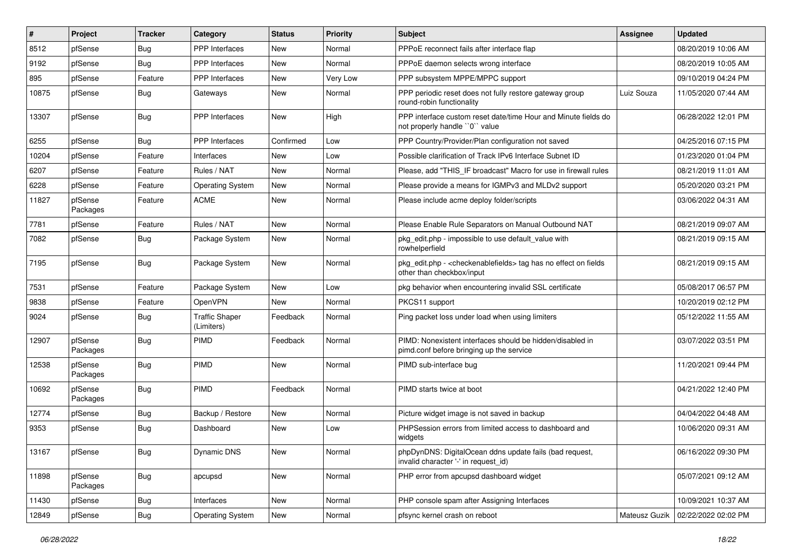| $\pmb{\#}$ | Project             | <b>Tracker</b> | Category                            | <b>Status</b> | Priority | Subject                                                                                               | <b>Assignee</b> | <b>Updated</b>      |
|------------|---------------------|----------------|-------------------------------------|---------------|----------|-------------------------------------------------------------------------------------------------------|-----------------|---------------------|
| 8512       | pfSense             | <b>Bug</b>     | PPP Interfaces                      | New           | Normal   | PPPoE reconnect fails after interface flap                                                            |                 | 08/20/2019 10:06 AM |
| 9192       | pfSense             | Bug            | <b>PPP</b> Interfaces               | <b>New</b>    | Normal   | PPPoE daemon selects wrong interface                                                                  |                 | 08/20/2019 10:05 AM |
| 895        | pfSense             | Feature        | PPP Interfaces                      | New           | Very Low | PPP subsystem MPPE/MPPC support                                                                       |                 | 09/10/2019 04:24 PM |
| 10875      | pfSense             | Bug            | Gateways                            | New           | Normal   | PPP periodic reset does not fully restore gateway group<br>round-robin functionality                  | Luiz Souza      | 11/05/2020 07:44 AM |
| 13307      | pfSense             | Bug            | <b>PPP</b> Interfaces               | <b>New</b>    | High     | PPP interface custom reset date/time Hour and Minute fields do<br>not properly handle "0" value       |                 | 06/28/2022 12:01 PM |
| 6255       | pfSense             | Bug            | <b>PPP</b> Interfaces               | Confirmed     | Low      | PPP Country/Provider/Plan configuration not saved                                                     |                 | 04/25/2016 07:15 PM |
| 10204      | pfSense             | Feature        | Interfaces                          | New           | Low      | Possible clarification of Track IPv6 Interface Subnet ID                                              |                 | 01/23/2020 01:04 PM |
| 6207       | pfSense             | Feature        | Rules / NAT                         | New           | Normal   | Please, add "THIS_IF broadcast" Macro for use in firewall rules                                       |                 | 08/21/2019 11:01 AM |
| 6228       | pfSense             | Feature        | <b>Operating System</b>             | <b>New</b>    | Normal   | Please provide a means for IGMPv3 and MLDv2 support                                                   |                 | 05/20/2020 03:21 PM |
| 11827      | pfSense<br>Packages | Feature        | ACME                                | New           | Normal   | Please include acme deploy folder/scripts                                                             |                 | 03/06/2022 04:31 AM |
| 7781       | pfSense             | Feature        | Rules / NAT                         | New           | Normal   | Please Enable Rule Separators on Manual Outbound NAT                                                  |                 | 08/21/2019 09:07 AM |
| 7082       | pfSense             | Bug            | Package System                      | New           | Normal   | pkg edit.php - impossible to use default value with<br>rowhelperfield                                 |                 | 08/21/2019 09:15 AM |
| 7195       | pfSense             | Bug            | Package System                      | <b>New</b>    | Normal   | pkg edit.php - < checkenable fields > tag has no effect on fields<br>other than checkbox/input        |                 | 08/21/2019 09:15 AM |
| 7531       | pfSense             | Feature        | Package System                      | New           | Low      | pkg behavior when encountering invalid SSL certificate                                                |                 | 05/08/2017 06:57 PM |
| 9838       | pfSense             | Feature        | OpenVPN                             | New           | Normal   | PKCS11 support                                                                                        |                 | 10/20/2019 02:12 PM |
| 9024       | pfSense             | <b>Bug</b>     | <b>Traffic Shaper</b><br>(Limiters) | Feedback      | Normal   | Ping packet loss under load when using limiters                                                       |                 | 05/12/2022 11:55 AM |
| 12907      | pfSense<br>Packages | Bug            | <b>PIMD</b>                         | Feedback      | Normal   | PIMD: Nonexistent interfaces should be hidden/disabled in<br>pimd.conf before bringing up the service |                 | 03/07/2022 03:51 PM |
| 12538      | pfSense<br>Packages | <b>Bug</b>     | <b>PIMD</b>                         | <b>New</b>    | Normal   | PIMD sub-interface bug                                                                                |                 | 11/20/2021 09:44 PM |
| 10692      | pfSense<br>Packages | Bug            | <b>PIMD</b>                         | Feedback      | Normal   | PIMD starts twice at boot                                                                             |                 | 04/21/2022 12:40 PM |
| 12774      | pfSense             | Bug            | Backup / Restore                    | New           | Normal   | Picture widget image is not saved in backup                                                           |                 | 04/04/2022 04:48 AM |
| 9353       | pfSense             | <b>Bug</b>     | Dashboard                           | New           | Low      | PHPSession errors from limited access to dashboard and<br>widgets                                     |                 | 10/06/2020 09:31 AM |
| 13167      | pfSense             | <b>Bug</b>     | Dynamic DNS                         | New           | Normal   | phpDynDNS: DigitalOcean ddns update fails (bad request,<br>invalid character '-' in request_id)       |                 | 06/16/2022 09:30 PM |
| 11898      | pfSense<br>Packages | <b>Bug</b>     | apcupsd                             | New           | Normal   | PHP error from apcupsd dashboard widget                                                               |                 | 05/07/2021 09:12 AM |
| 11430      | pfSense             | <b>Bug</b>     | Interfaces                          | New           | Normal   | PHP console spam after Assigning Interfaces                                                           |                 | 10/09/2021 10:37 AM |
| 12849      | pfSense             | <b>Bug</b>     | <b>Operating System</b>             | New           | Normal   | pfsync kernel crash on reboot                                                                         | Mateusz Guzik   | 02/22/2022 02:02 PM |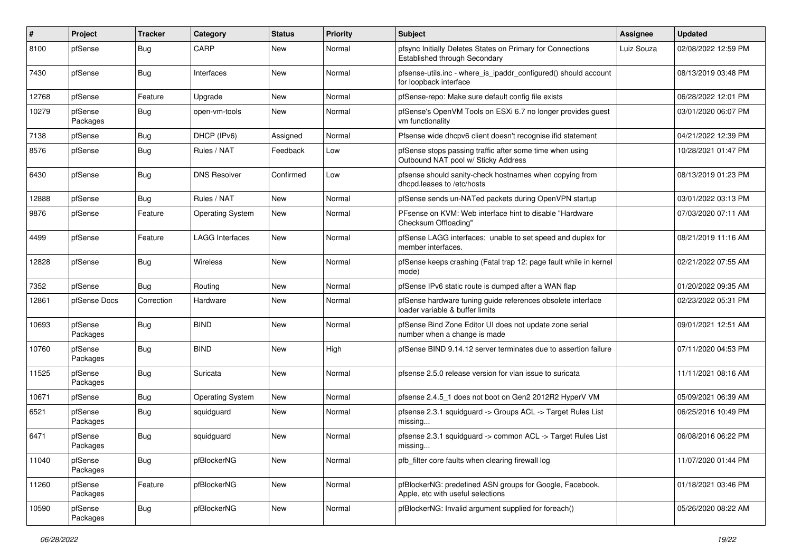| ∦     | Project             | <b>Tracker</b> | Category                | <b>Status</b> | <b>Priority</b> | Subject                                                                                         | <b>Assignee</b> | <b>Updated</b>      |
|-------|---------------------|----------------|-------------------------|---------------|-----------------|-------------------------------------------------------------------------------------------------|-----------------|---------------------|
| 8100  | pfSense             | <b>Bug</b>     | CARP                    | New           | Normal          | pfsync Initially Deletes States on Primary for Connections<br>Established through Secondary     | Luiz Souza      | 02/08/2022 12:59 PM |
| 7430  | pfSense             | <b>Bug</b>     | Interfaces              | New           | Normal          | pfsense-utils.inc - where_is_ipaddr_configured() should account<br>for loopback interface       |                 | 08/13/2019 03:48 PM |
| 12768 | pfSense             | Feature        | Upgrade                 | <b>New</b>    | Normal          | pfSense-repo: Make sure default config file exists                                              |                 | 06/28/2022 12:01 PM |
| 10279 | pfSense<br>Packages | <b>Bug</b>     | open-vm-tools           | New           | Normal          | pfSense's OpenVM Tools on ESXi 6.7 no longer provides guest<br>vm functionality                 |                 | 03/01/2020 06:07 PM |
| 7138  | pfSense             | <b>Bug</b>     | DHCP (IPv6)             | Assigned      | Normal          | Pfsense wide dhcpv6 client doesn't recognise ifid statement                                     |                 | 04/21/2022 12:39 PM |
| 8576  | pfSense             | Bug            | Rules / NAT             | Feedback      | Low             | pfSense stops passing traffic after some time when using<br>Outbound NAT pool w/ Sticky Address |                 | 10/28/2021 01:47 PM |
| 6430  | pfSense             | Bug            | <b>DNS Resolver</b>     | Confirmed     | Low             | pfsense should sanity-check hostnames when copying from<br>dhcpd.leases to /etc/hosts           |                 | 08/13/2019 01:23 PM |
| 12888 | pfSense             | Bug            | Rules / NAT             | <b>New</b>    | Normal          | pfSense sends un-NATed packets during OpenVPN startup                                           |                 | 03/01/2022 03:13 PM |
| 9876  | pfSense             | Feature        | <b>Operating System</b> | New           | Normal          | PFsense on KVM: Web interface hint to disable "Hardware<br>Checksum Offloading"                 |                 | 07/03/2020 07:11 AM |
| 4499  | pfSense             | Feature        | LAGG Interfaces         | <b>New</b>    | Normal          | pfSense LAGG interfaces; unable to set speed and duplex for<br>member interfaces.               |                 | 08/21/2019 11:16 AM |
| 12828 | pfSense             | Bug            | Wireless                | New           | Normal          | pfSense keeps crashing (Fatal trap 12: page fault while in kernel<br>mode)                      |                 | 02/21/2022 07:55 AM |
| 7352  | pfSense             | Bug            | Routing                 | <b>New</b>    | Normal          | pfSense IPv6 static route is dumped after a WAN flap                                            |                 | 01/20/2022 09:35 AM |
| 12861 | pfSense Docs        | Correction     | Hardware                | New           | Normal          | pfSense hardware tuning guide references obsolete interface<br>loader variable & buffer limits  |                 | 02/23/2022 05:31 PM |
| 10693 | pfSense<br>Packages | <b>Bug</b>     | <b>BIND</b>             | New           | Normal          | pfSense Bind Zone Editor UI does not update zone serial<br>number when a change is made         |                 | 09/01/2021 12:51 AM |
| 10760 | pfSense<br>Packages | Bug            | <b>BIND</b>             | New           | High            | pfSense BIND 9.14.12 server terminates due to assertion failure                                 |                 | 07/11/2020 04:53 PM |
| 11525 | pfSense<br>Packages | <b>Bug</b>     | Suricata                | <b>New</b>    | Normal          | pfsense 2.5.0 release version for vlan issue to suricata                                        |                 | 11/11/2021 08:16 AM |
| 10671 | pfSense             | Bug            | <b>Operating System</b> | <b>New</b>    | Normal          | pfsense 2.4.5 1 does not boot on Gen2 2012R2 HyperV VM                                          |                 | 05/09/2021 06:39 AM |
| 6521  | pfSense<br>Packages | Bug            | squidguard              | New           | Normal          | pfsense 2.3.1 squidguard -> Groups ACL -> Target Rules List<br>missing                          |                 | 06/25/2016 10:49 PM |
| 6471  | pfSense<br>Packages | <b>Bug</b>     | squidguard              | New           | Normal          | pfsense 2.3.1 squidguard -> common ACL -> Target Rules List<br>missing.                         |                 | 06/08/2016 06:22 PM |
| 11040 | pfSense<br>Packages | <b>Bug</b>     | pfBlockerNG             | New           | Normal          | pfb_filter core faults when clearing firewall log                                               |                 | 11/07/2020 01:44 PM |
| 11260 | pfSense<br>Packages | Feature        | pfBlockerNG             | New           | Normal          | pfBlockerNG: predefined ASN groups for Google, Facebook,<br>Apple, etc with useful selections   |                 | 01/18/2021 03:46 PM |
| 10590 | pfSense<br>Packages | <b>Bug</b>     | pfBlockerNG             | New           | Normal          | pfBlockerNG: Invalid argument supplied for foreach()                                            |                 | 05/26/2020 08:22 AM |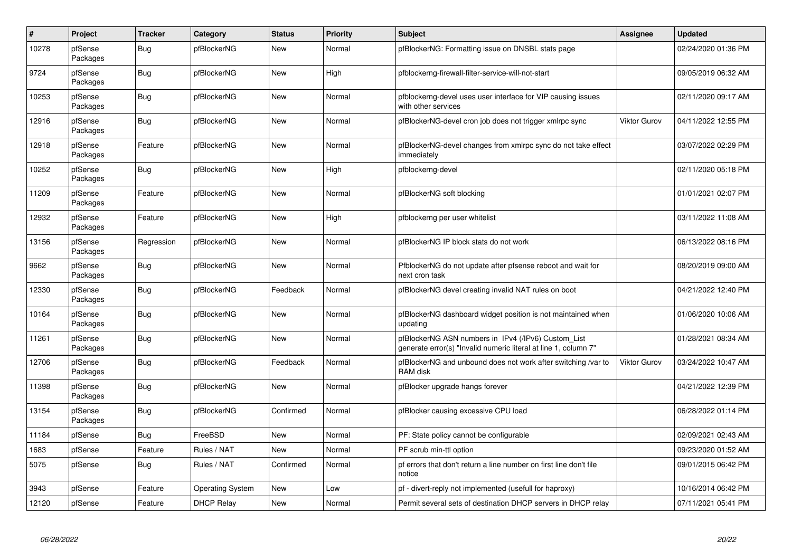| #     | Project             | <b>Tracker</b> | Category                | <b>Status</b> | <b>Priority</b> | <b>Subject</b>                                                                                                         | Assignee            | <b>Updated</b>      |
|-------|---------------------|----------------|-------------------------|---------------|-----------------|------------------------------------------------------------------------------------------------------------------------|---------------------|---------------------|
| 10278 | pfSense<br>Packages | Bug            | pfBlockerNG             | New           | Normal          | pfBlockerNG: Formatting issue on DNSBL stats page                                                                      |                     | 02/24/2020 01:36 PM |
| 9724  | pfSense<br>Packages | Bug            | pfBlockerNG             | New           | High            | pfblockerng-firewall-filter-service-will-not-start                                                                     |                     | 09/05/2019 06:32 AM |
| 10253 | pfSense<br>Packages | <b>Bug</b>     | pfBlockerNG             | New           | Normal          | pfblockerng-devel uses user interface for VIP causing issues<br>with other services                                    |                     | 02/11/2020 09:17 AM |
| 12916 | pfSense<br>Packages | <b>Bug</b>     | pfBlockerNG             | New           | Normal          | pfBlockerNG-devel cron job does not trigger xmlrpc sync                                                                | <b>Viktor Gurov</b> | 04/11/2022 12:55 PM |
| 12918 | pfSense<br>Packages | Feature        | pfBlockerNG             | New           | Normal          | pfBlockerNG-devel changes from xmlrpc sync do not take effect<br>immediately                                           |                     | 03/07/2022 02:29 PM |
| 10252 | pfSense<br>Packages | <b>Bug</b>     | pfBlockerNG             | <b>New</b>    | High            | pfblockerng-devel                                                                                                      |                     | 02/11/2020 05:18 PM |
| 11209 | pfSense<br>Packages | Feature        | pfBlockerNG             | <b>New</b>    | Normal          | pfBlockerNG soft blocking                                                                                              |                     | 01/01/2021 02:07 PM |
| 12932 | pfSense<br>Packages | Feature        | pfBlockerNG             | <b>New</b>    | High            | pfblockerng per user whitelist                                                                                         |                     | 03/11/2022 11:08 AM |
| 13156 | pfSense<br>Packages | Regression     | pfBlockerNG             | <b>New</b>    | Normal          | pfBlockerNG IP block stats do not work                                                                                 |                     | 06/13/2022 08:16 PM |
| 9662  | pfSense<br>Packages | <b>Bug</b>     | pfBlockerNG             | New           | Normal          | PfblockerNG do not update after pfsense reboot and wait for<br>next cron task                                          |                     | 08/20/2019 09:00 AM |
| 12330 | pfSense<br>Packages | Bug            | pfBlockerNG             | Feedback      | Normal          | pfBlockerNG devel creating invalid NAT rules on boot                                                                   |                     | 04/21/2022 12:40 PM |
| 10164 | pfSense<br>Packages | <b>Bug</b>     | pfBlockerNG             | New           | Normal          | pfBlockerNG dashboard widget position is not maintained when<br>updating                                               |                     | 01/06/2020 10:06 AM |
| 11261 | pfSense<br>Packages | <b>Bug</b>     | pfBlockerNG             | New           | Normal          | pfBlockerNG ASN numbers in IPv4 (/IPv6) Custom_List<br>generate error(s) "Invalid numeric literal at line 1, column 7" |                     | 01/28/2021 08:34 AM |
| 12706 | pfSense<br>Packages | Bug            | pfBlockerNG             | Feedback      | Normal          | pfBlockerNG and unbound does not work after switching /var to<br>RAM disk                                              | <b>Viktor Gurov</b> | 03/24/2022 10:47 AM |
| 11398 | pfSense<br>Packages | Bug            | pfBlockerNG             | <b>New</b>    | Normal          | pfBlocker upgrade hangs forever                                                                                        |                     | 04/21/2022 12:39 PM |
| 13154 | pfSense<br>Packages | <b>Bug</b>     | pfBlockerNG             | Confirmed     | Normal          | pfBlocker causing excessive CPU load                                                                                   |                     | 06/28/2022 01:14 PM |
| 11184 | pfSense             | <b>Bug</b>     | FreeBSD                 | New           | Normal          | PF: State policy cannot be configurable                                                                                |                     | 02/09/2021 02:43 AM |
| 1683  | pfSense             | Feature        | Rules / NAT             | <b>New</b>    | Normal          | PF scrub min-ttl option                                                                                                |                     | 09/23/2020 01:52 AM |
| 5075  | pfSense             | <b>Bug</b>     | Rules / NAT             | Confirmed     | Normal          | pf errors that don't return a line number on first line don't file<br>notice                                           |                     | 09/01/2015 06:42 PM |
| 3943  | pfSense             | Feature        | <b>Operating System</b> | New           | Low             | pf - divert-reply not implemented (usefull for haproxy)                                                                |                     | 10/16/2014 06:42 PM |
| 12120 | pfSense             | Feature        | <b>DHCP Relay</b>       | New           | Normal          | Permit several sets of destination DHCP servers in DHCP relay                                                          |                     | 07/11/2021 05:41 PM |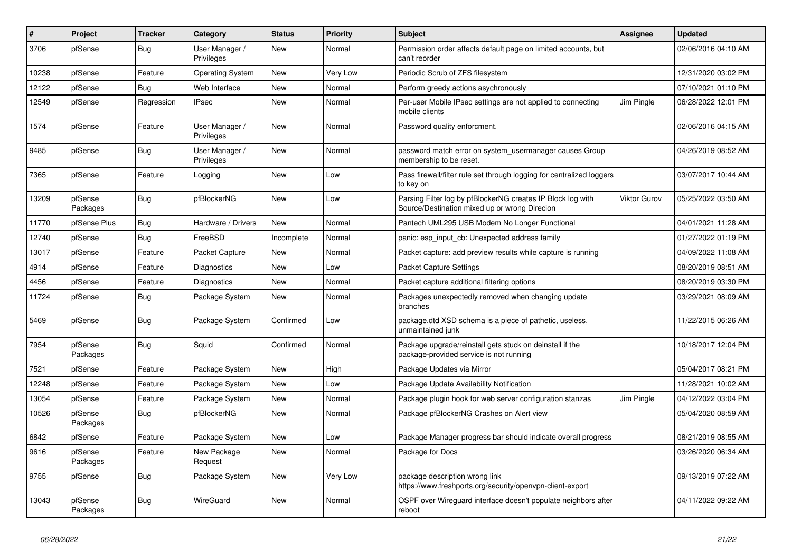| #     | Project             | <b>Tracker</b> | Category                     | <b>Status</b> | Priority | <b>Subject</b>                                                                                               | <b>Assignee</b>     | <b>Updated</b>      |
|-------|---------------------|----------------|------------------------------|---------------|----------|--------------------------------------------------------------------------------------------------------------|---------------------|---------------------|
| 3706  | pfSense             | Bug            | User Manager /<br>Privileges | New           | Normal   | Permission order affects default page on limited accounts, but<br>can't reorder                              |                     | 02/06/2016 04:10 AM |
| 10238 | pfSense             | Feature        | <b>Operating System</b>      | New           | Very Low | Periodic Scrub of ZFS filesystem                                                                             |                     | 12/31/2020 03:02 PM |
| 12122 | pfSense             | <b>Bug</b>     | Web Interface                | New           | Normal   | Perform greedy actions asychronously                                                                         |                     | 07/10/2021 01:10 PM |
| 12549 | pfSense             | Regression     | <b>IPsec</b>                 | New           | Normal   | Per-user Mobile IPsec settings are not applied to connecting<br>mobile clients                               | Jim Pingle          | 06/28/2022 12:01 PM |
| 1574  | pfSense             | Feature        | User Manager /<br>Privileges | New           | Normal   | Password quality enforcment.                                                                                 |                     | 02/06/2016 04:15 AM |
| 9485  | pfSense             | <b>Bug</b>     | User Manager /<br>Privileges | New           | Normal   | password match error on system_usermanager causes Group<br>membership to be reset.                           |                     | 04/26/2019 08:52 AM |
| 7365  | pfSense             | Feature        | Logging                      | New           | Low      | Pass firewall/filter rule set through logging for centralized loggers<br>to key on                           |                     | 03/07/2017 10:44 AM |
| 13209 | pfSense<br>Packages | <b>Bug</b>     | pfBlockerNG                  | New           | Low      | Parsing Filter log by pfBlockerNG creates IP Block log with<br>Source/Destination mixed up or wrong Direcion | <b>Viktor Gurov</b> | 05/25/2022 03:50 AM |
| 11770 | pfSense Plus        | Bug            | Hardware / Drivers           | <b>New</b>    | Normal   | Pantech UML295 USB Modem No Longer Functional                                                                |                     | 04/01/2021 11:28 AM |
| 12740 | pfSense             | <b>Bug</b>     | FreeBSD                      | Incomplete    | Normal   | panic: esp input cb: Unexpected address family                                                               |                     | 01/27/2022 01:19 PM |
| 13017 | pfSense             | Feature        | Packet Capture               | New           | Normal   | Packet capture: add preview results while capture is running                                                 |                     | 04/09/2022 11:08 AM |
| 4914  | pfSense             | Feature        | Diagnostics                  | New           | Low      | <b>Packet Capture Settings</b>                                                                               |                     | 08/20/2019 08:51 AM |
| 4456  | pfSense             | Feature        | Diagnostics                  | New           | Normal   | Packet capture additional filtering options                                                                  |                     | 08/20/2019 03:30 PM |
| 11724 | pfSense             | <b>Bug</b>     | Package System               | New           | Normal   | Packages unexpectedly removed when changing update<br>branches                                               |                     | 03/29/2021 08:09 AM |
| 5469  | pfSense             | <b>Bug</b>     | Package System               | Confirmed     | Low      | package.dtd XSD schema is a piece of pathetic, useless,<br>unmaintained junk                                 |                     | 11/22/2015 06:26 AM |
| 7954  | pfSense<br>Packages | Bug            | Squid                        | Confirmed     | Normal   | Package upgrade/reinstall gets stuck on deinstall if the<br>package-provided service is not running          |                     | 10/18/2017 12:04 PM |
| 7521  | pfSense             | Feature        | Package System               | New           | High     | Package Updates via Mirror                                                                                   |                     | 05/04/2017 08:21 PM |
| 12248 | pfSense             | Feature        | Package System               | New           | Low      | Package Update Availability Notification                                                                     |                     | 11/28/2021 10:02 AM |
| 13054 | pfSense             | Feature        | Package System               | New           | Normal   | Package plugin hook for web server configuration stanzas                                                     | Jim Pingle          | 04/12/2022 03:04 PM |
| 10526 | pfSense<br>Packages | <b>Bug</b>     | pfBlockerNG                  | New           | Normal   | Package pfBlockerNG Crashes on Alert view                                                                    |                     | 05/04/2020 08:59 AM |
| 6842  | pfSense             | Feature        | Package System               | New           | Low      | Package Manager progress bar should indicate overall progress                                                |                     | 08/21/2019 08:55 AM |
| 9616  | pfSense<br>Packages | Feature        | New Package<br>Request       | New           | Normal   | Package for Docs                                                                                             |                     | 03/26/2020 06:34 AM |
| 9755  | pfSense             | Bug            | Package System               | New           | Very Low | package description wrong link<br>https://www.freshports.org/security/openvpn-client-export                  |                     | 09/13/2019 07:22 AM |
| 13043 | pfSense<br>Packages | <b>Bug</b>     | WireGuard                    | New           | Normal   | OSPF over Wireguard interface doesn't populate neighbors after<br>reboot                                     |                     | 04/11/2022 09:22 AM |